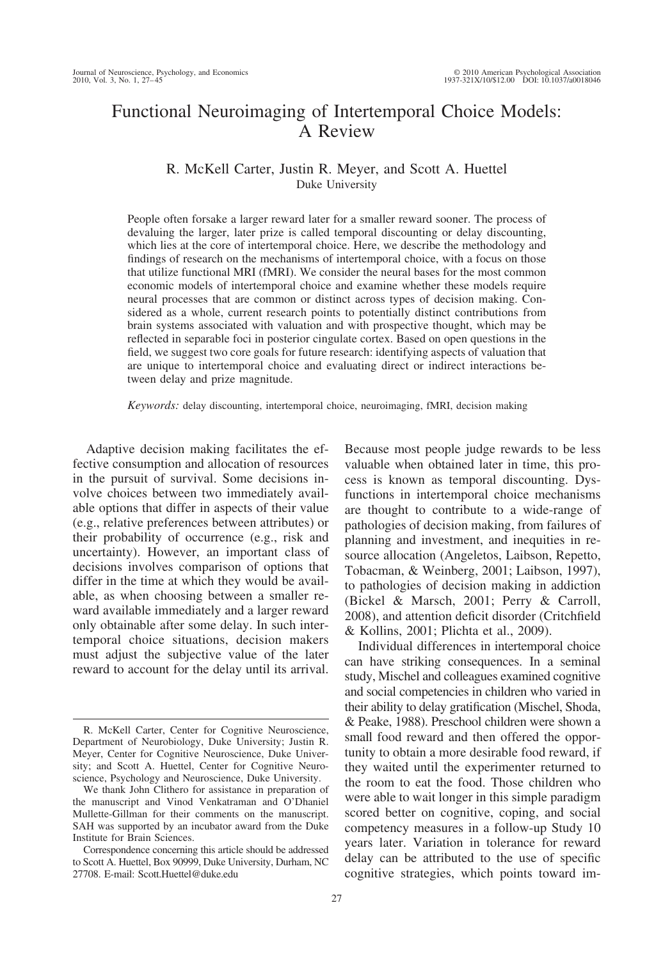# Functional Neuroimaging of Intertemporal Choice Models: A Review

# R. McKell Carter, Justin R. Meyer, and Scott A. Huettel Duke University

People often forsake a larger reward later for a smaller reward sooner. The process of devaluing the larger, later prize is called temporal discounting or delay discounting, which lies at the core of intertemporal choice. Here, we describe the methodology and findings of research on the mechanisms of intertemporal choice, with a focus on those that utilize functional MRI (fMRI). We consider the neural bases for the most common economic models of intertemporal choice and examine whether these models require neural processes that are common or distinct across types of decision making. Considered as a whole, current research points to potentially distinct contributions from brain systems associated with valuation and with prospective thought, which may be reflected in separable foci in posterior cingulate cortex. Based on open questions in the field, we suggest two core goals for future research: identifying aspects of valuation that are unique to intertemporal choice and evaluating direct or indirect interactions between delay and prize magnitude.

*Keywords:* delay discounting, intertemporal choice, neuroimaging, fMRI, decision making

Adaptive decision making facilitates the effective consumption and allocation of resources in the pursuit of survival. Some decisions involve choices between two immediately available options that differ in aspects of their value (e.g., relative preferences between attributes) or their probability of occurrence (e.g., risk and uncertainty). However, an important class of decisions involves comparison of options that differ in the time at which they would be available, as when choosing between a smaller reward available immediately and a larger reward only obtainable after some delay. In such intertemporal choice situations, decision makers must adjust the subjective value of the later reward to account for the delay until its arrival.

Because most people judge rewards to be less valuable when obtained later in time, this process is known as temporal discounting. Dysfunctions in intertemporal choice mechanisms are thought to contribute to a wide-range of pathologies of decision making, from failures of planning and investment, and inequities in resource allocation (Angeletos, Laibson, Repetto, Tobacman, & Weinberg, 2001; Laibson, 1997), to pathologies of decision making in addiction (Bickel & Marsch, 2001; Perry & Carroll, 2008), and attention deficit disorder (Critchfield & Kollins, 2001; Plichta et al., 2009).

Individual differences in intertemporal choice can have striking consequences. In a seminal study, Mischel and colleagues examined cognitive and social competencies in children who varied in their ability to delay gratification (Mischel, Shoda, & Peake, 1988). Preschool children were shown a small food reward and then offered the opportunity to obtain a more desirable food reward, if they waited until the experimenter returned to the room to eat the food. Those children who were able to wait longer in this simple paradigm scored better on cognitive, coping, and social competency measures in a follow-up Study 10 years later. Variation in tolerance for reward delay can be attributed to the use of specific cognitive strategies, which points toward im-

R. McKell Carter, Center for Cognitive Neuroscience, Department of Neurobiology, Duke University; Justin R. Meyer, Center for Cognitive Neuroscience, Duke University; and Scott A. Huettel, Center for Cognitive Neuroscience, Psychology and Neuroscience, Duke University.

We thank John Clithero for assistance in preparation of the manuscript and Vinod Venkatraman and O'Dhaniel Mullette-Gillman for their comments on the manuscript. SAH was supported by an incubator award from the Duke Institute for Brain Sciences.

Correspondence concerning this article should be addressed to Scott A. Huettel, Box 90999, Duke University, Durham, NC 27708. E-mail: Scott.Huettel@duke.edu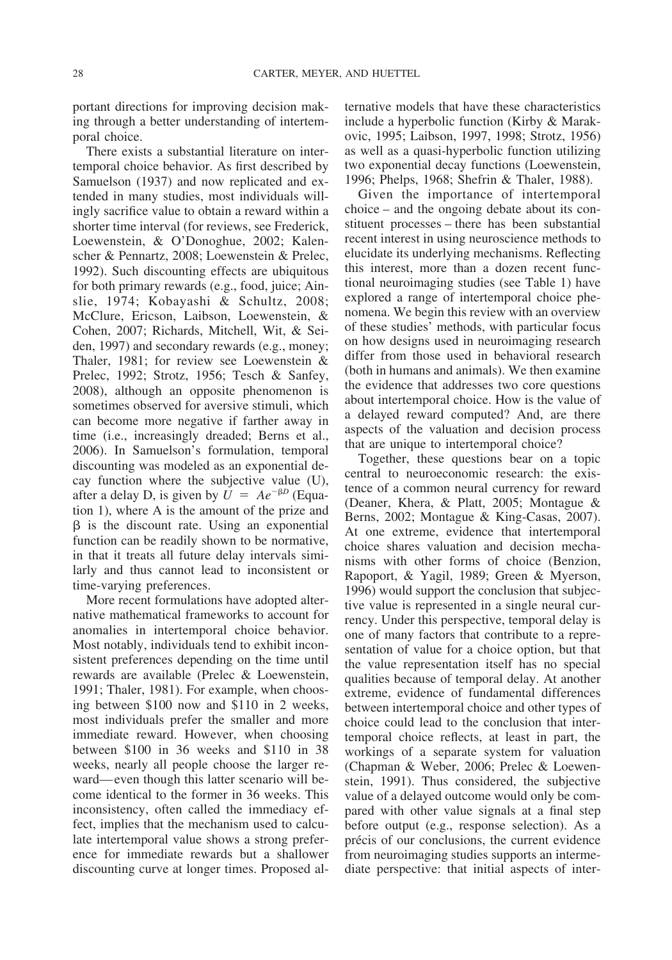portant directions for improving decision making through a better understanding of intertemporal choice.

There exists a substantial literature on intertemporal choice behavior. As first described by Samuelson (1937) and now replicated and extended in many studies, most individuals willingly sacrifice value to obtain a reward within a shorter time interval (for reviews, see Frederick, Loewenstein, & O'Donoghue, 2002; Kalenscher & Pennartz, 2008; Loewenstein & Prelec, 1992). Such discounting effects are ubiquitous for both primary rewards (e.g., food, juice; Ainslie, 1974; Kobayashi & Schultz, 2008; McClure, Ericson, Laibson, Loewenstein, & Cohen, 2007; Richards, Mitchell, Wit, & Seiden, 1997) and secondary rewards (e.g., money; Thaler, 1981; for review see Loewenstein & Prelec, 1992; Strotz, 1956; Tesch & Sanfey, 2008), although an opposite phenomenon is sometimes observed for aversive stimuli, which can become more negative if farther away in time (i.e., increasingly dreaded; Berns et al., 2006). In Samuelson's formulation, temporal discounting was modeled as an exponential decay function where the subjective value (U), after a delay D, is given by  $U = Ae^{-\beta D}$  (Equation 1), where A is the amount of the prize and  $\beta$  is the discount rate. Using an exponential function can be readily shown to be normative, in that it treats all future delay intervals similarly and thus cannot lead to inconsistent or time-varying preferences.

More recent formulations have adopted alternative mathematical frameworks to account for anomalies in intertemporal choice behavior. Most notably, individuals tend to exhibit inconsistent preferences depending on the time until rewards are available (Prelec & Loewenstein, 1991; Thaler, 1981). For example, when choosing between \$100 now and \$110 in 2 weeks, most individuals prefer the smaller and more immediate reward. However, when choosing between \$100 in 36 weeks and \$110 in 38 weeks, nearly all people choose the larger reward— even though this latter scenario will become identical to the former in 36 weeks. This inconsistency, often called the immediacy effect, implies that the mechanism used to calculate intertemporal value shows a strong preference for immediate rewards but a shallower discounting curve at longer times. Proposed alternative models that have these characteristics include a hyperbolic function (Kirby & Marakovic, 1995; Laibson, 1997, 1998; Strotz, 1956) as well as a quasi-hyperbolic function utilizing two exponential decay functions (Loewenstein, 1996; Phelps, 1968; Shefrin & Thaler, 1988).

Given the importance of intertemporal choice – and the ongoing debate about its constituent processes – there has been substantial recent interest in using neuroscience methods to elucidate its underlying mechanisms. Reflecting this interest, more than a dozen recent functional neuroimaging studies (see Table 1) have explored a range of intertemporal choice phenomena. We begin this review with an overview of these studies' methods, with particular focus on how designs used in neuroimaging research differ from those used in behavioral research (both in humans and animals). We then examine the evidence that addresses two core questions about intertemporal choice. How is the value of a delayed reward computed? And, are there aspects of the valuation and decision process that are unique to intertemporal choice?

Together, these questions bear on a topic central to neuroeconomic research: the existence of a common neural currency for reward (Deaner, Khera, & Platt, 2005; Montague & Berns, 2002; Montague & King-Casas, 2007). At one extreme, evidence that intertemporal choice shares valuation and decision mechanisms with other forms of choice (Benzion, Rapoport, & Yagil, 1989; Green & Myerson, 1996) would support the conclusion that subjective value is represented in a single neural currency. Under this perspective, temporal delay is one of many factors that contribute to a representation of value for a choice option, but that the value representation itself has no special qualities because of temporal delay. At another extreme, evidence of fundamental differences between intertemporal choice and other types of choice could lead to the conclusion that intertemporal choice reflects, at least in part, the workings of a separate system for valuation (Chapman & Weber, 2006; Prelec & Loewenstein, 1991). Thus considered, the subjective value of a delayed outcome would only be compared with other value signals at a final step before output (e.g., response selection). As a précis of our conclusions, the current evidence from neuroimaging studies supports an intermediate perspective: that initial aspects of inter-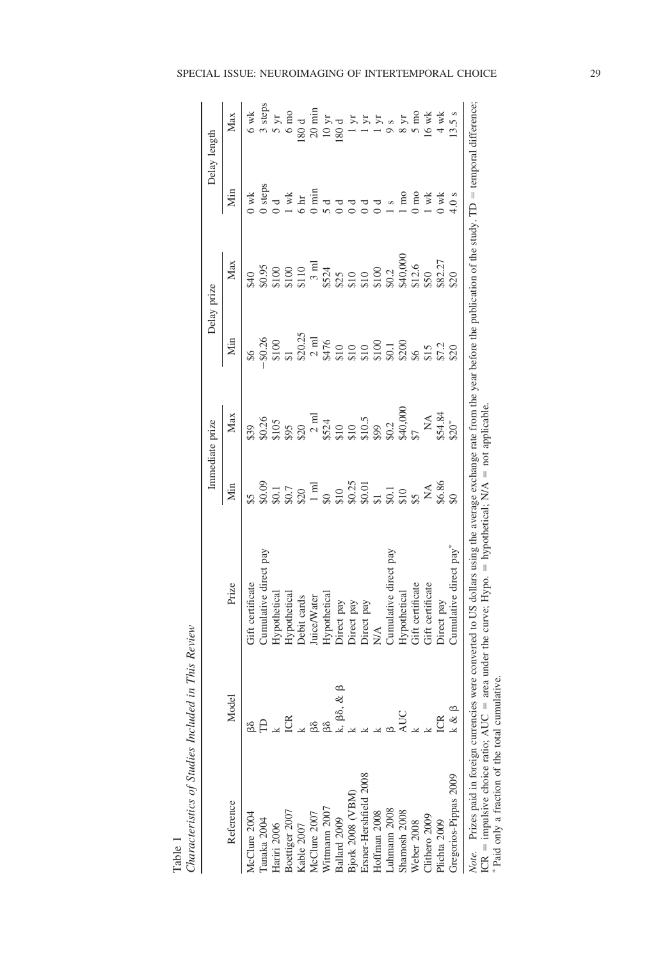|                                         |               |                                                                                                                                           |                                                                                                                                                                          | Immediate prize        |     | Delay prize                                                                                                                                                                                                                                                        |                                                                                                                               | Delay length                                                                                        |
|-----------------------------------------|---------------|-------------------------------------------------------------------------------------------------------------------------------------------|--------------------------------------------------------------------------------------------------------------------------------------------------------------------------|------------------------|-----|--------------------------------------------------------------------------------------------------------------------------------------------------------------------------------------------------------------------------------------------------------------------|-------------------------------------------------------------------------------------------------------------------------------|-----------------------------------------------------------------------------------------------------|
| Reference                               | Model         | Prize                                                                                                                                     | Min                                                                                                                                                                      | Max                    | Мin | Max                                                                                                                                                                                                                                                                | Мin                                                                                                                           | Max                                                                                                 |
| McClure 2004                            |               | Gift certificate                                                                                                                          | \$5                                                                                                                                                                      |                        |     |                                                                                                                                                                                                                                                                    | $0$ wk                                                                                                                        | $6$ wk                                                                                              |
| anaka 2004                              |               | Cumulative direct                                                                                                                         |                                                                                                                                                                          |                        |     |                                                                                                                                                                                                                                                                    |                                                                                                                               |                                                                                                     |
| Hariri 2006                             | $\frac{k}{2}$ | <b>Hypothetical</b>                                                                                                                       |                                                                                                                                                                          |                        |     |                                                                                                                                                                                                                                                                    | $\begin{array}{c} 0 \text{ steps} \\ 0 \text{ d} \\ 1 \text{ wk} \\ 6 \text{ hr} \\ 0 \text{ min} \\ 5 \text{ d} \end{array}$ | $\begin{array}{c}\n 3 \text{ steps} \\ 5 \text{ yr} \\ 6 \text{ mo} \\ 180 \text{ d}\n \end{array}$ |
| Boettiger 2007                          |               |                                                                                                                                           |                                                                                                                                                                          |                        |     |                                                                                                                                                                                                                                                                    |                                                                                                                               |                                                                                                     |
| Kable 2007                              |               | Hypothetical<br>Debit cards                                                                                                               |                                                                                                                                                                          |                        |     |                                                                                                                                                                                                                                                                    |                                                                                                                               |                                                                                                     |
| AcClure 2007                            |               | Juice/Water                                                                                                                               |                                                                                                                                                                          |                        |     |                                                                                                                                                                                                                                                                    |                                                                                                                               | $20$ min                                                                                            |
| Vittmann 2007                           | 88<br>88      | Hypothetical                                                                                                                              |                                                                                                                                                                          |                        |     |                                                                                                                                                                                                                                                                    |                                                                                                                               |                                                                                                     |
| Ballard 2009                            | k, βδ, &      |                                                                                                                                           |                                                                                                                                                                          |                        |     |                                                                                                                                                                                                                                                                    |                                                                                                                               | $\frac{10 \text{ yr}}{80 \text{ d}}$                                                                |
| Bjork 2008 (VBM)                        |               | Direct pay<br>Direct pay                                                                                                                  |                                                                                                                                                                          |                        |     |                                                                                                                                                                                                                                                                    |                                                                                                                               |                                                                                                     |
| Ersner-Hershfield 2008                  |               |                                                                                                                                           |                                                                                                                                                                          |                        |     |                                                                                                                                                                                                                                                                    |                                                                                                                               |                                                                                                     |
| Hoffman 2008                            |               | Direct pay<br>N/A                                                                                                                         |                                                                                                                                                                          |                        |     |                                                                                                                                                                                                                                                                    |                                                                                                                               | $\frac{1}{2}$                                                                                       |
| Juhmann 2008                            |               | Cumulative direct pay                                                                                                                     |                                                                                                                                                                          |                        |     |                                                                                                                                                                                                                                                                    |                                                                                                                               |                                                                                                     |
| Shamosh 2008                            | <b>AUC</b>    |                                                                                                                                           | $30.01130.01130.01130.01130.01130.01130.01230.01330.01430.02530.03630.03830.03030.03030.03030.03030.03030.03030.03030.03030.03030.03030.03030.03030.03030.03030.03030.0$ |                        |     | $\begin{array}{l} 3.900\\ 3.900\\ 3.9100\\ 4.9100\\ 5.9100\\ 5.9100\\ 6.9100\\ 7.911\\ 7.911\\ 8.911\\ 8.911\\ 8.9100\\ 8.9100\\ 8.9100\\ 8.9100\\ 8.9100\\ 8.9100\\ 8.9100\\ 8.9100\\ 8.9100\\ 8.9100\\ 8.9100\\ 8.9100\\ 8.9100\\ 8.9100\\ 8.9100\\ 8.9100\\ 8.$ | $\overline{m}$                                                                                                                |                                                                                                     |
| Weber 2008                              |               | Hypothetical<br>Gift certificate                                                                                                          |                                                                                                                                                                          |                        |     |                                                                                                                                                                                                                                                                    | $0 \text{ mo}$                                                                                                                |                                                                                                     |
| Clithero 2009                           |               | Gift certificate                                                                                                                          |                                                                                                                                                                          |                        |     |                                                                                                                                                                                                                                                                    | wk                                                                                                                            | $6$ wk                                                                                              |
| Plichta 2009                            |               | Direct pay                                                                                                                                |                                                                                                                                                                          | NA<br>\$54.84<br>\$20* |     |                                                                                                                                                                                                                                                                    | $0$ wk                                                                                                                        | $4 \text{ wk}$                                                                                      |
| Gregorios-Pippas 2009                   | k & B         | Cumulative direct pay                                                                                                                     | $\frac{6}{5}$                                                                                                                                                            |                        |     |                                                                                                                                                                                                                                                                    | 4.0 s                                                                                                                         | 13.5s                                                                                               |
| Note. Prizes paid in foreign currencies |               | were converted to US dollars using the average exchange rate from the vear before the publication of the study. TD = temporal difference: |                                                                                                                                                                          |                        |     |                                                                                                                                                                                                                                                                    |                                                                                                                               |                                                                                                     |

Table 1<br>Characteristics of Studies Included in This Review *Characteristics of Studies Included in This Review*

| $\epsilon$<br>3.3                                     | ì<br>į<br>Ì<br>i                                                                                    |                                                                                                                                                                       |
|-------------------------------------------------------|-----------------------------------------------------------------------------------------------------|-----------------------------------------------------------------------------------------------------------------------------------------------------------------------|
| ڊ<br>+                                                | ra m<br>֧֢֛֚֚֓֕֜<br>$\mathsf{I}$<br>ĺ<br>l                                                          |                                                                                                                                                                       |
| $\sum_{i=1}^{n}$                                      | į<br>$\frac{1}{2}$<br>$\mathfrak{g}$<br>$\frac{1}{2}$<br>i<br>Ś                                     |                                                                                                                                                                       |
| ココ                                                    | í<br>ś<br>くそくせつ                                                                                     |                                                                                                                                                                       |
| ゴ                                                     | $\ddot{\phantom{a}}$<br>j<br>Į                                                                      | Í<br>j<br>$\frac{1}{2}$<br>$\ddot{\phantom{a}}$<br>ï<br>l<br>i<br>$\frac{1}{2}$                                                                                       |
| ň                                                     | ė<br>ij<br>j                                                                                        | $\mathsf{I}$<br>ł<br>j<br>i<br>Lista de la política<br>Lista de la política<br>١<br>į                                                                                 |
| ֖֖֖֖֖֖֖֧֪֪ׅ֖֖֧֚֚֚֚֚֚֚֚֚֚֚֚֚֚֚֚֚֚֚֚֚֚֚֚֚֚֚֚֚֚֬֝֓֝<br>E | י<br>י<br>į<br>֧ׅ֧֧֚֚֚֚֚֚֚֚֚֚֚֚֚֚֚֚֚֚֚֚֚֚֚֚֚֝֡֡֡֓֡֡֓֡֡֬֓֡֬֓֞֓֡֡֬<br>j<br>I<br>í<br>ł<br>くりり<br>vere | j<br>$\ddot{\phantom{0}}$<br>$\ddotsc$<br>$\mathsf{I}$<br>ְ<br>$\ddot{\phantom{0}}$<br>I<br>$\frac{1}{2}$<br>ġ<br>$\frac{1}{2}$<br>$\sim$<br>$\overline{a}$<br>area i |
| $\frac{5}{8}$                                         | ĕ<br>i<br>Ì                                                                                         | $\mathsf{I}$                                                                                                                                                          |
|                                                       | ļ                                                                                                   | î<br>i<br>$CR =$ impu                                                                                                                                                 |
| ì                                                     | Vote.                                                                                               |                                                                                                                                                                       |

ICR  $=$  impulsive choice ratio; AUC  $=$  area under the curve; Hypo.  $=$  hypothetical; N/A  $=$  not applicable. i<br>P  $\tilde{\vec{z}}$ ŗ ICR = impulsive choice ratio;  $AUC = area$ <br>\* Paid only a fraction of the total cumulative. Paid only a fraction of the total cumulative.

SPECIAL ISSUE: NEUROIMAGING OF INTERTEMPORAL CHOICE 29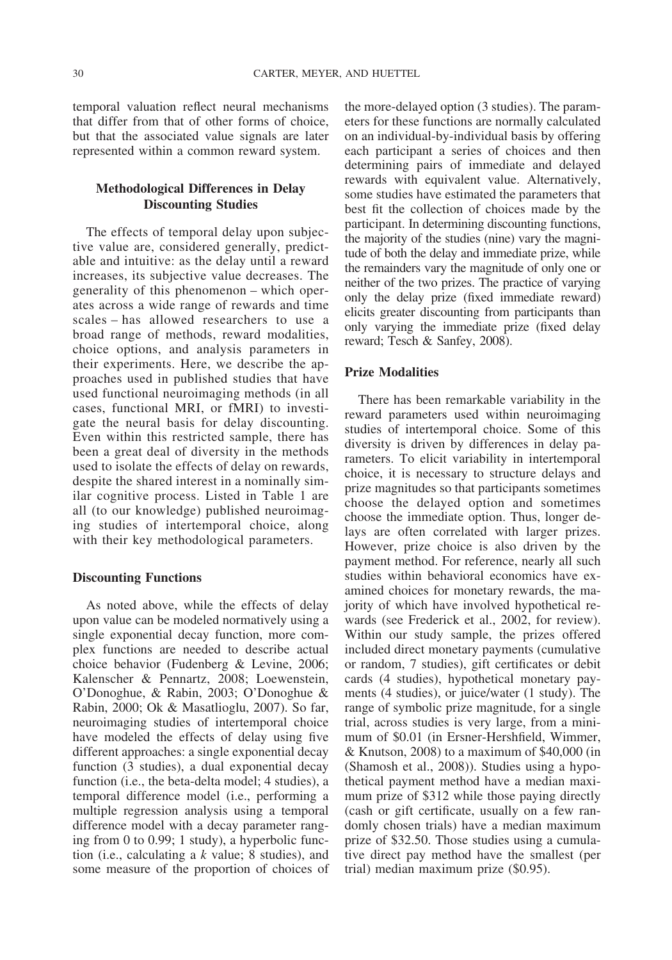temporal valuation reflect neural mechanisms that differ from that of other forms of choice, but that the associated value signals are later represented within a common reward system.

## **Methodological Differences in Delay Discounting Studies**

The effects of temporal delay upon subjective value are, considered generally, predictable and intuitive: as the delay until a reward increases, its subjective value decreases. The generality of this phenomenon – which operates across a wide range of rewards and time scales – has allowed researchers to use a broad range of methods, reward modalities, choice options, and analysis parameters in their experiments. Here, we describe the approaches used in published studies that have used functional neuroimaging methods (in all cases, functional MRI, or fMRI) to investigate the neural basis for delay discounting. Even within this restricted sample, there has been a great deal of diversity in the methods used to isolate the effects of delay on rewards, despite the shared interest in a nominally similar cognitive process. Listed in Table 1 are all (to our knowledge) published neuroimaging studies of intertemporal choice, along with their key methodological parameters.

### **Discounting Functions**

As noted above, while the effects of delay upon value can be modeled normatively using a single exponential decay function, more complex functions are needed to describe actual choice behavior (Fudenberg & Levine, 2006; Kalenscher & Pennartz, 2008; Loewenstein, O'Donoghue, & Rabin, 2003; O'Donoghue & Rabin, 2000; Ok & Masatlioglu, 2007). So far, neuroimaging studies of intertemporal choice have modeled the effects of delay using five different approaches: a single exponential decay function (3 studies), a dual exponential decay function (i.e., the beta-delta model; 4 studies), a temporal difference model (i.e., performing a multiple regression analysis using a temporal difference model with a decay parameter ranging from 0 to 0.99; 1 study), a hyperbolic function (i.e., calculating a *k* value; 8 studies), and some measure of the proportion of choices of the more-delayed option (3 studies). The parameters for these functions are normally calculated on an individual-by-individual basis by offering each participant a series of choices and then determining pairs of immediate and delayed rewards with equivalent value. Alternatively, some studies have estimated the parameters that best fit the collection of choices made by the participant. In determining discounting functions, the majority of the studies (nine) vary the magnitude of both the delay and immediate prize, while the remainders vary the magnitude of only one or neither of the two prizes. The practice of varying only the delay prize (fixed immediate reward) elicits greater discounting from participants than only varying the immediate prize (fixed delay reward; Tesch & Sanfey, 2008).

#### **Prize Modalities**

There has been remarkable variability in the reward parameters used within neuroimaging studies of intertemporal choice. Some of this diversity is driven by differences in delay parameters. To elicit variability in intertemporal choice, it is necessary to structure delays and prize magnitudes so that participants sometimes choose the delayed option and sometimes choose the immediate option. Thus, longer delays are often correlated with larger prizes. However, prize choice is also driven by the payment method. For reference, nearly all such studies within behavioral economics have examined choices for monetary rewards, the majority of which have involved hypothetical rewards (see Frederick et al., 2002, for review). Within our study sample, the prizes offered included direct monetary payments (cumulative or random, 7 studies), gift certificates or debit cards (4 studies), hypothetical monetary payments (4 studies), or juice/water (1 study). The range of symbolic prize magnitude, for a single trial, across studies is very large, from a minimum of \$0.01 (in Ersner-Hershfield, Wimmer, & Knutson, 2008) to a maximum of \$40,000 (in (Shamosh et al., 2008)). Studies using a hypothetical payment method have a median maximum prize of \$312 while those paying directly (cash or gift certificate, usually on a few randomly chosen trials) have a median maximum prize of \$32.50. Those studies using a cumulative direct pay method have the smallest (per trial) median maximum prize (\$0.95).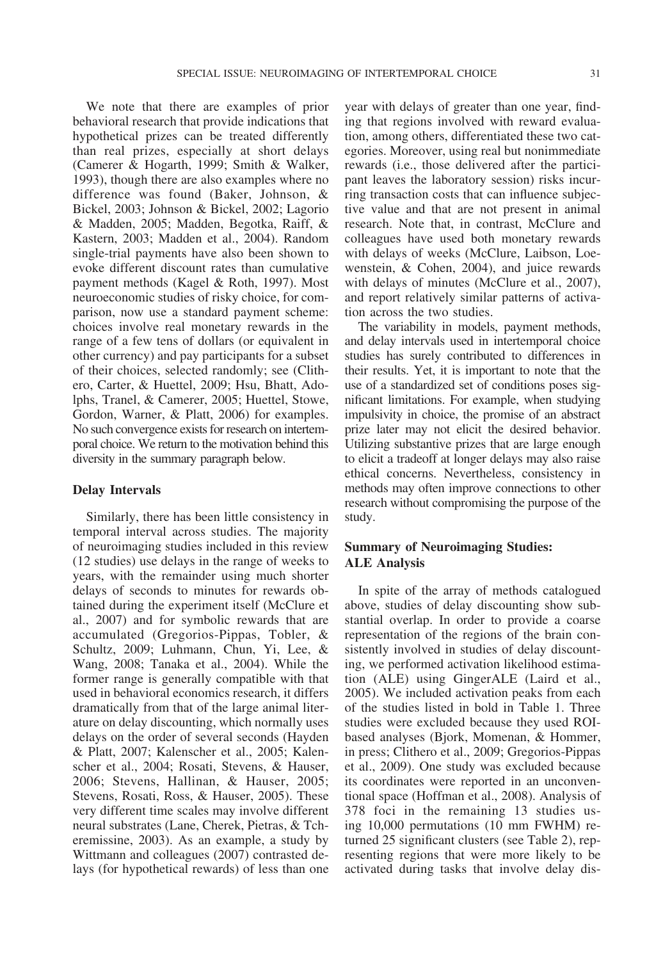We note that there are examples of prior behavioral research that provide indications that hypothetical prizes can be treated differently than real prizes, especially at short delays (Camerer & Hogarth, 1999; Smith & Walker, 1993), though there are also examples where no difference was found (Baker, Johnson, & Bickel, 2003; Johnson & Bickel, 2002; Lagorio & Madden, 2005; Madden, Begotka, Raiff, & Kastern, 2003; Madden et al., 2004). Random single-trial payments have also been shown to evoke different discount rates than cumulative payment methods (Kagel & Roth, 1997). Most neuroeconomic studies of risky choice, for comparison, now use a standard payment scheme: choices involve real monetary rewards in the range of a few tens of dollars (or equivalent in other currency) and pay participants for a subset of their choices, selected randomly; see (Clithero, Carter, & Huettel, 2009; Hsu, Bhatt, Adolphs, Tranel, & Camerer, 2005; Huettel, Stowe, Gordon, Warner, & Platt, 2006) for examples. No such convergence exists for research on intertemporal choice. We return to the motivation behind this diversity in the summary paragraph below.

### **Delay Intervals**

Similarly, there has been little consistency in temporal interval across studies. The majority of neuroimaging studies included in this review (12 studies) use delays in the range of weeks to years, with the remainder using much shorter delays of seconds to minutes for rewards obtained during the experiment itself (McClure et al., 2007) and for symbolic rewards that are accumulated (Gregorios-Pippas, Tobler, & Schultz, 2009; Luhmann, Chun, Yi, Lee, & Wang, 2008; Tanaka et al., 2004). While the former range is generally compatible with that used in behavioral economics research, it differs dramatically from that of the large animal literature on delay discounting, which normally uses delays on the order of several seconds (Hayden & Platt, 2007; Kalenscher et al., 2005; Kalenscher et al., 2004; Rosati, Stevens, & Hauser, 2006; Stevens, Hallinan, & Hauser, 2005; Stevens, Rosati, Ross, & Hauser, 2005). These very different time scales may involve different neural substrates (Lane, Cherek, Pietras, & Tcheremissine, 2003). As an example, a study by Wittmann and colleagues (2007) contrasted delays (for hypothetical rewards) of less than one

year with delays of greater than one year, finding that regions involved with reward evaluation, among others, differentiated these two categories. Moreover, using real but nonimmediate rewards (i.e., those delivered after the participant leaves the laboratory session) risks incurring transaction costs that can influence subjective value and that are not present in animal research. Note that, in contrast, McClure and colleagues have used both monetary rewards with delays of weeks (McClure, Laibson, Loewenstein, & Cohen, 2004), and juice rewards with delays of minutes (McClure et al., 2007), and report relatively similar patterns of activation across the two studies.

The variability in models, payment methods, and delay intervals used in intertemporal choice studies has surely contributed to differences in their results. Yet, it is important to note that the use of a standardized set of conditions poses significant limitations. For example, when studying impulsivity in choice, the promise of an abstract prize later may not elicit the desired behavior. Utilizing substantive prizes that are large enough to elicit a tradeoff at longer delays may also raise ethical concerns. Nevertheless, consistency in methods may often improve connections to other research without compromising the purpose of the study.

# **Summary of Neuroimaging Studies: ALE Analysis**

In spite of the array of methods catalogued above, studies of delay discounting show substantial overlap. In order to provide a coarse representation of the regions of the brain consistently involved in studies of delay discounting, we performed activation likelihood estimation (ALE) using GingerALE (Laird et al., 2005). We included activation peaks from each of the studies listed in bold in Table 1. Three studies were excluded because they used ROIbased analyses (Bjork, Momenan, & Hommer, in press; Clithero et al., 2009; Gregorios-Pippas et al., 2009). One study was excluded because its coordinates were reported in an unconventional space (Hoffman et al., 2008). Analysis of 378 foci in the remaining 13 studies using 10,000 permutations (10 mm FWHM) returned 25 significant clusters (see Table 2), representing regions that were more likely to be activated during tasks that involve delay dis-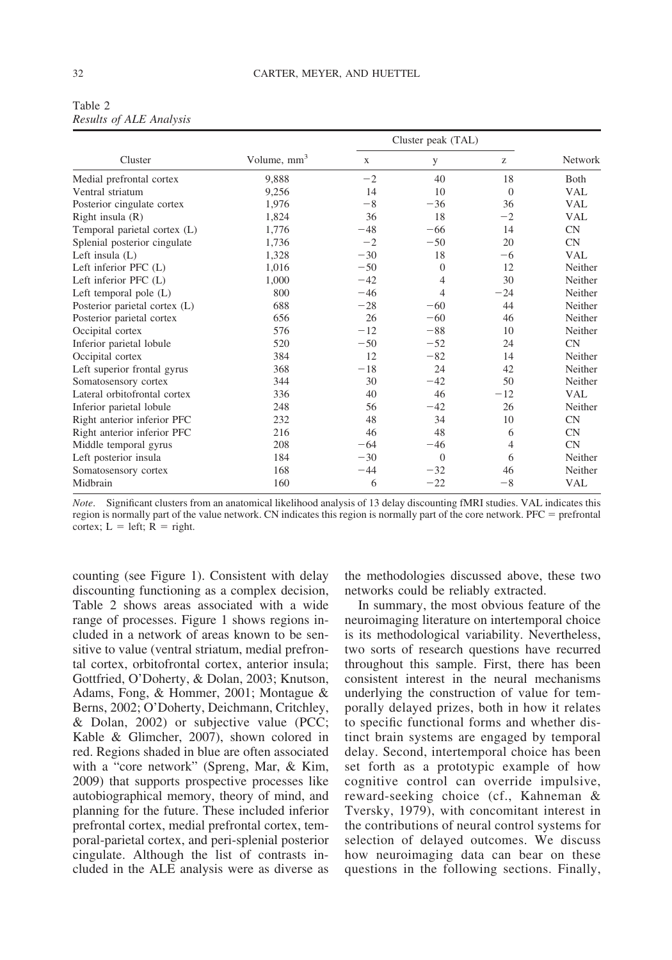|                               |                         |             | Cluster peak (TAL) |                |              |
|-------------------------------|-------------------------|-------------|--------------------|----------------|--------------|
| Cluster                       | Volume, mm <sup>3</sup> | $\mathbf X$ | y                  | Z              | Network      |
| Medial prefrontal cortex      | 9,888                   | $-2$        | 40                 | 18             | <b>B</b> oth |
| Ventral striatum              | 9,256                   | 14          | 10                 | $\overline{0}$ | <b>VAL</b>   |
| Posterior cingulate cortex    | 1,976                   | $-8$        | $-36$              | 36             | <b>VAL</b>   |
| Right insula $(R)$            | 1,824                   | 36          | 18                 | $-2$           | <b>VAL</b>   |
| Temporal parietal cortex (L)  | 1,776                   | $-48$       | $-66$              | 14             | CN           |
| Splenial posterior cingulate  | 1,736                   | $-2$        | $-50$              | 20             | <b>CN</b>    |
| Left insula $(L)$             | 1,328                   | $-30$       | 18                 | $-6$           | <b>VAL</b>   |
| Left inferior PFC (L)         | 1,016                   | $-50$       | $\overline{0}$     | 12             | Neither      |
| Left inferior PFC (L)         | 1,000                   | $-42$       | $\overline{4}$     | 30             | Neither      |
| Left temporal pole $(L)$      | 800                     | $-46$       | 4                  | $-24$          | Neither      |
| Posterior parietal cortex (L) | 688                     | $-28$       | $-60$              | 44             | Neither      |
| Posterior parietal cortex     | 656                     | 26          | $-60$              | 46             | Neither      |
| Occipital cortex              | 576                     | $-12$       | $-88$              | 10             | Neither      |
| Inferior parietal lobule      | 520                     | $-50$       | $-52$              | 24             | CN           |
| Occipital cortex              | 384                     | 12          | $-82$              | 14             | Neither      |
| Left superior frontal gyrus   | 368                     | $-18$       | 24                 | 42             | Neither      |
| Somatosensory cortex          | 344                     | 30          | $-42$              | 50             | Neither      |
| Lateral orbitofrontal cortex  | 336                     | 40          | 46                 | $-12$          | <b>VAL</b>   |
| Inferior parietal lobule      | 248                     | 56          | $-42$              | 26             | Neither      |
| Right anterior inferior PFC   | 232                     | 48          | 34                 | 10             | CN           |
| Right anterior inferior PFC   | 216                     | 46          | 48                 | 6              | <b>CN</b>    |
| Middle temporal gyrus         | 208                     | $-64$       | $-46$              | 4              | CN           |
| Left posterior insula         | 184                     | $-30$       | $\overline{0}$     | 6              | Neither      |
| Somatosensory cortex          | 168                     | $-44$       | $-32$              | 46             | Neither      |
| Midbrain                      | 160                     | 6           | $-22$              | $-8$           | <b>VAL</b>   |

| Table 2 |                         |
|---------|-------------------------|
|         | Results of ALE Analysis |

*Note*. Significant clusters from an anatomical likelihood analysis of 13 delay discounting fMRI studies. VAL indicates this region is normally part of the value network. CN indicates this region is normally part of the core network.  $PFC =$  prefrontal cortex;  $L = left$ ;  $R = right$ .

counting (see Figure 1). Consistent with delay discounting functioning as a complex decision, Table 2 shows areas associated with a wide range of processes. Figure 1 shows regions included in a network of areas known to be sensitive to value (ventral striatum, medial prefrontal cortex, orbitofrontal cortex, anterior insula; Gottfried, O'Doherty, & Dolan, 2003; Knutson, Adams, Fong, & Hommer, 2001; Montague & Berns, 2002; O'Doherty, Deichmann, Critchley, & Dolan, 2002) or subjective value (PCC; Kable & Glimcher, 2007), shown colored in red. Regions shaded in blue are often associated with a "core network" (Spreng, Mar, & Kim, 2009) that supports prospective processes like autobiographical memory, theory of mind, and planning for the future. These included inferior prefrontal cortex, medial prefrontal cortex, temporal-parietal cortex, and peri-splenial posterior cingulate. Although the list of contrasts included in the ALE analysis were as diverse as

the methodologies discussed above, these two networks could be reliably extracted.

In summary, the most obvious feature of the neuroimaging literature on intertemporal choice is its methodological variability. Nevertheless, two sorts of research questions have recurred throughout this sample. First, there has been consistent interest in the neural mechanisms underlying the construction of value for temporally delayed prizes, both in how it relates to specific functional forms and whether distinct brain systems are engaged by temporal delay. Second, intertemporal choice has been set forth as a prototypic example of how cognitive control can override impulsive, reward-seeking choice (cf., Kahneman & Tversky, 1979), with concomitant interest in the contributions of neural control systems for selection of delayed outcomes. We discuss how neuroimaging data can bear on these questions in the following sections. Finally,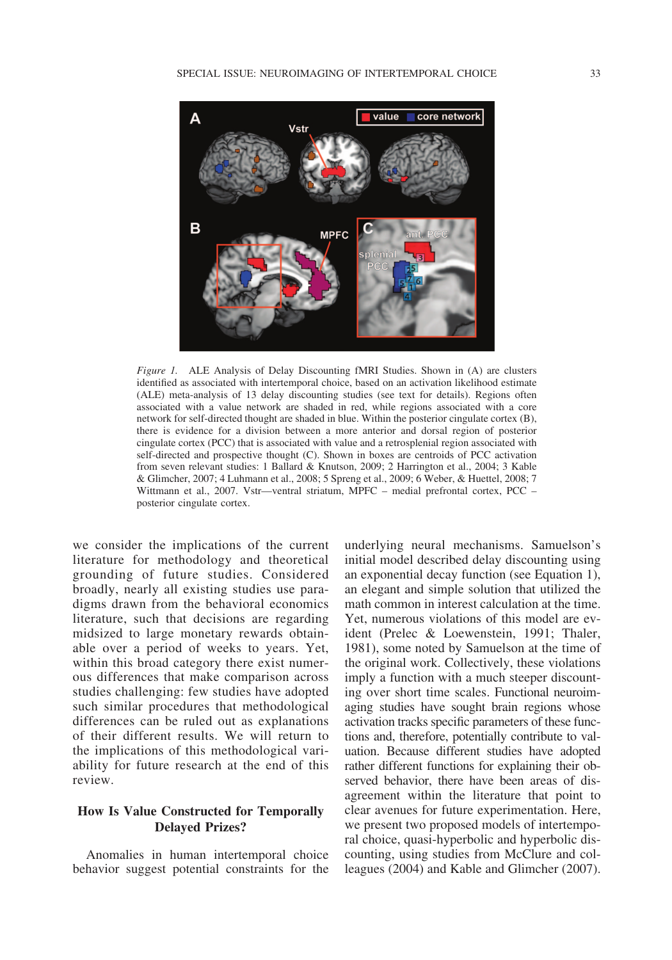

*Figure 1.* ALE Analysis of Delay Discounting fMRI Studies. Shown in (A) are clusters identified as associated with intertemporal choice, based on an activation likelihood estimate (ALE) meta-analysis of 13 delay discounting studies (see text for details). Regions often associated with a value network are shaded in red, while regions associated with a core network for self-directed thought are shaded in blue. Within the posterior cingulate cortex (B), there is evidence for a division between a more anterior and dorsal region of posterior cingulate cortex (PCC) that is associated with value and a retrosplenial region associated with self-directed and prospective thought (C). Shown in boxes are centroids of PCC activation from seven relevant studies: 1 Ballard & Knutson, 2009; 2 Harrington et al., 2004; 3 Kable & Glimcher, 2007; 4 Luhmann et al., 2008; 5 Spreng et al., 2009; 6 Weber, & Huettel, 2008; 7 Wittmann et al., 2007. Vstr—ventral striatum, MPFC – medial prefrontal cortex, PCC – posterior cingulate cortex.

we consider the implications of the current literature for methodology and theoretical grounding of future studies. Considered broadly, nearly all existing studies use paradigms drawn from the behavioral economics literature, such that decisions are regarding midsized to large monetary rewards obtainable over a period of weeks to years. Yet, within this broad category there exist numerous differences that make comparison across studies challenging: few studies have adopted such similar procedures that methodological differences can be ruled out as explanations of their different results. We will return to the implications of this methodological variability for future research at the end of this review.

# **How Is Value Constructed for Temporally Delayed Prizes?**

Anomalies in human intertemporal choice behavior suggest potential constraints for the underlying neural mechanisms. Samuelson's initial model described delay discounting using an exponential decay function (see Equation 1), an elegant and simple solution that utilized the math common in interest calculation at the time. Yet, numerous violations of this model are evident (Prelec & Loewenstein, 1991; Thaler, 1981), some noted by Samuelson at the time of the original work. Collectively, these violations imply a function with a much steeper discounting over short time scales. Functional neuroimaging studies have sought brain regions whose activation tracks specific parameters of these functions and, therefore, potentially contribute to valuation. Because different studies have adopted rather different functions for explaining their observed behavior, there have been areas of disagreement within the literature that point to clear avenues for future experimentation. Here, we present two proposed models of intertemporal choice, quasi-hyperbolic and hyperbolic discounting, using studies from McClure and colleagues (2004) and Kable and Glimcher (2007).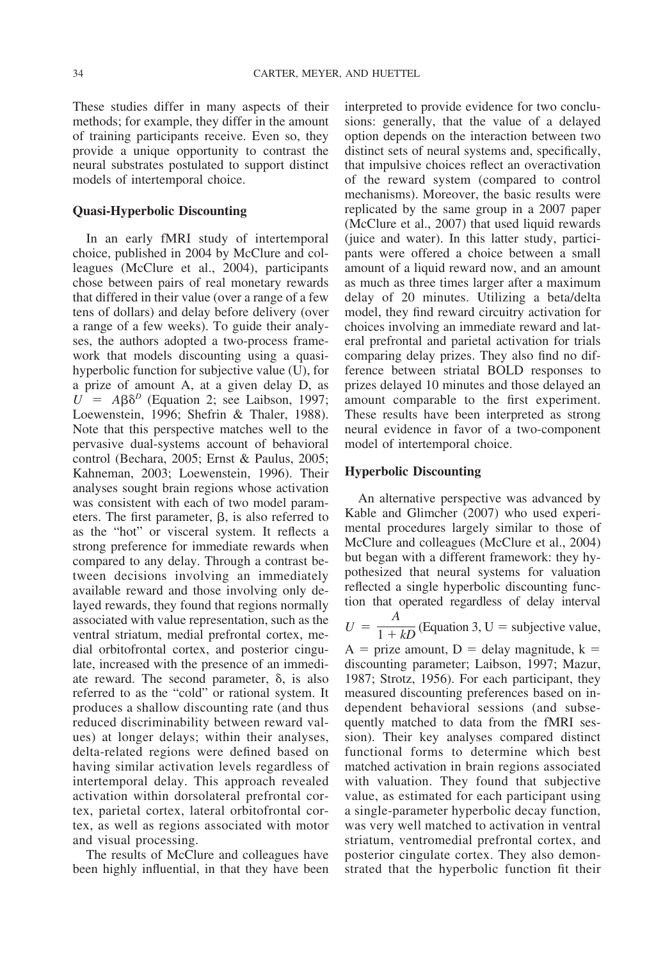These studies differ in many aspects of their methods; for example, they differ in the amount of training participants receive. Even so, they provide a unique opportunity to contrast the neural substrates postulated to support distinct models of intertemporal choice.

#### **Quasi-Hyperbolic Discounting**

In an early fMRI study of intertemporal choice, published in 2004 by McClure and colleagues (McClure et al., 2004), participants chose between pairs of real monetary rewards that differed in their value (over a range of a few tens of dollars) and delay before delivery (over a range of a few weeks). To guide their analyses, the authors adopted a two-process framework that models discounting using a quasihyperbolic function for subjective value (U), for a prize of amount A, at a given delay D, as  $U = A\beta\delta^D$  (Equation 2; see Laibson, 1997; Loewenstein, 1996; Shefrin & Thaler, 1988). Note that this perspective matches well to the pervasive dual-systems account of behavioral control (Bechara, 2005; Ernst & Paulus, 2005; Kahneman, 2003; Loewenstein, 1996). Their analyses sought brain regions whose activation was consistent with each of two model parameters. The first parameter,  $\beta$ , is also referred to as the "hot" or visceral system. It reflects a strong preference for immediate rewards when compared to any delay. Through a contrast between decisions involving an immediately available reward and those involving only delayed rewards, they found that regions normally associated with value representation, such as the ventral striatum, medial prefrontal cortex, medial orbitofrontal cortex, and posterior cingulate, increased with the presence of an immediate reward. The second parameter,  $\delta$ , is also referred to as the "cold" or rational system. It produces a shallow discounting rate (and thus reduced discriminability between reward values) at longer delays; within their analyses, delta-related regions were defined based on having similar activation levels regardless of intertemporal delay. This approach revealed activation within dorsolateral prefrontal cortex, parietal cortex, lateral orbitofrontal cortex, as well as regions associated with motor and visual processing.

The results of McClure and colleagues have been highly influential, in that they have been interpreted to provide evidence for two conclusions: generally, that the value of a delayed option depends on the interaction between two distinct sets of neural systems and, specifically, that impulsive choices reflect an overactivation of the reward system (compared to control mechanisms). Moreover, the basic results were replicated by the same group in a 2007 paper (McClure et al., 2007) that used liquid rewards (juice and water). In this latter study, participants were offered a choice between a small amount of a liquid reward now, and an amount as much as three times larger after a maximum delay of 20 minutes. Utilizing a beta/delta model, they find reward circuitry activation for choices involving an immediate reward and lateral prefrontal and parietal activation for trials comparing delay prizes. They also find no difference between striatal BOLD responses to prizes delayed 10 minutes and those delayed an amount comparable to the first experiment. These results have been interpreted as strong neural evidence in favor of a two-component model of intertemporal choice.

#### **Hyperbolic Discounting**

An alternative perspective was advanced by Kable and Glimcher (2007) who used experimental procedures largely similar to those of McClure and colleagues (McClure et al., 2004) but began with a different framework: they hypothesized that neural systems for valuation reflected a single hyperbolic discounting function that operated regardless of delay interval  $U = \frac{A}{1 + kD}$  (Equation 3, U = subjective value,  $A =$  prize amount,  $D =$  delay magnitude,  $k =$ discounting parameter; Laibson, 1997; Mazur, 1987; Strotz, 1956). For each participant, they measured discounting preferences based on independent behavioral sessions (and subsequently matched to data from the fMRI session). Their key analyses compared distinct functional forms to determine which best matched activation in brain regions associated with valuation. They found that subjective value, as estimated for each participant using a single-parameter hyperbolic decay function, was very well matched to activation in ventral striatum, ventromedial prefrontal cortex, and posterior cingulate cortex. They also demonstrated that the hyperbolic function fit their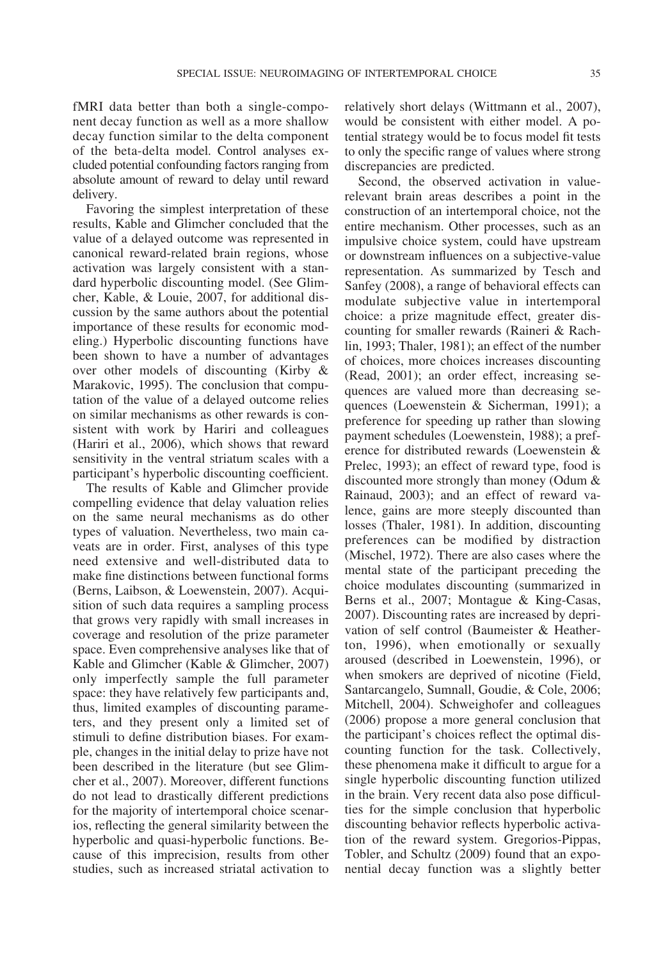fMRI data better than both a single-component decay function as well as a more shallow decay function similar to the delta component of the beta-delta model. Control analyses excluded potential confounding factors ranging from absolute amount of reward to delay until reward delivery.

Favoring the simplest interpretation of these results, Kable and Glimcher concluded that the value of a delayed outcome was represented in canonical reward-related brain regions, whose activation was largely consistent with a standard hyperbolic discounting model. (See Glimcher, Kable, & Louie, 2007, for additional discussion by the same authors about the potential importance of these results for economic modeling.) Hyperbolic discounting functions have been shown to have a number of advantages over other models of discounting (Kirby & Marakovic, 1995). The conclusion that computation of the value of a delayed outcome relies on similar mechanisms as other rewards is consistent with work by Hariri and colleagues (Hariri et al., 2006), which shows that reward sensitivity in the ventral striatum scales with a participant's hyperbolic discounting coefficient.

The results of Kable and Glimcher provide compelling evidence that delay valuation relies on the same neural mechanisms as do other types of valuation. Nevertheless, two main caveats are in order. First, analyses of this type need extensive and well-distributed data to make fine distinctions between functional forms (Berns, Laibson, & Loewenstein, 2007). Acquisition of such data requires a sampling process that grows very rapidly with small increases in coverage and resolution of the prize parameter space. Even comprehensive analyses like that of Kable and Glimcher (Kable & Glimcher, 2007) only imperfectly sample the full parameter space: they have relatively few participants and, thus, limited examples of discounting parameters, and they present only a limited set of stimuli to define distribution biases. For example, changes in the initial delay to prize have not been described in the literature (but see Glimcher et al., 2007). Moreover, different functions do not lead to drastically different predictions for the majority of intertemporal choice scenarios, reflecting the general similarity between the hyperbolic and quasi-hyperbolic functions. Because of this imprecision, results from other studies, such as increased striatal activation to

relatively short delays (Wittmann et al., 2007), would be consistent with either model. A potential strategy would be to focus model fit tests to only the specific range of values where strong discrepancies are predicted.

Second, the observed activation in valuerelevant brain areas describes a point in the construction of an intertemporal choice, not the entire mechanism. Other processes, such as an impulsive choice system, could have upstream or downstream influences on a subjective-value representation. As summarized by Tesch and Sanfey (2008), a range of behavioral effects can modulate subjective value in intertemporal choice: a prize magnitude effect, greater discounting for smaller rewards (Raineri & Rachlin, 1993; Thaler, 1981); an effect of the number of choices, more choices increases discounting (Read, 2001); an order effect, increasing sequences are valued more than decreasing sequences (Loewenstein & Sicherman, 1991); a preference for speeding up rather than slowing payment schedules (Loewenstein, 1988); a preference for distributed rewards (Loewenstein & Prelec, 1993); an effect of reward type, food is discounted more strongly than money (Odum & Rainaud, 2003); and an effect of reward valence, gains are more steeply discounted than losses (Thaler, 1981). In addition, discounting preferences can be modified by distraction (Mischel, 1972). There are also cases where the mental state of the participant preceding the choice modulates discounting (summarized in Berns et al., 2007; Montague & King-Casas, 2007). Discounting rates are increased by deprivation of self control (Baumeister & Heatherton, 1996), when emotionally or sexually aroused (described in Loewenstein, 1996), or when smokers are deprived of nicotine (Field, Santarcangelo, Sumnall, Goudie, & Cole, 2006; Mitchell, 2004). Schweighofer and colleagues (2006) propose a more general conclusion that the participant's choices reflect the optimal discounting function for the task. Collectively, these phenomena make it difficult to argue for a single hyperbolic discounting function utilized in the brain. Very recent data also pose difficulties for the simple conclusion that hyperbolic discounting behavior reflects hyperbolic activation of the reward system. Gregorios-Pippas, Tobler, and Schultz (2009) found that an exponential decay function was a slightly better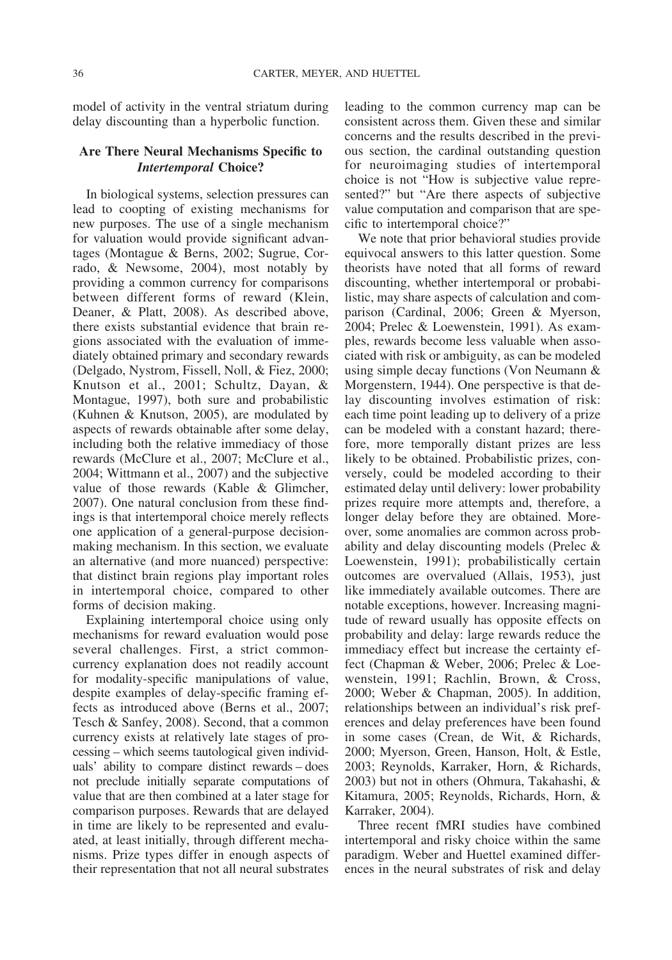model of activity in the ventral striatum during delay discounting than a hyperbolic function.

### **Are There Neural Mechanisms Specific to** *Intertemporal* **Choice?**

In biological systems, selection pressures can lead to coopting of existing mechanisms for new purposes. The use of a single mechanism for valuation would provide significant advantages (Montague & Berns, 2002; Sugrue, Corrado, & Newsome, 2004), most notably by providing a common currency for comparisons between different forms of reward (Klein, Deaner, & Platt, 2008). As described above, there exists substantial evidence that brain regions associated with the evaluation of immediately obtained primary and secondary rewards (Delgado, Nystrom, Fissell, Noll, & Fiez, 2000; Knutson et al., 2001; Schultz, Dayan, & Montague, 1997), both sure and probabilistic (Kuhnen & Knutson, 2005), are modulated by aspects of rewards obtainable after some delay, including both the relative immediacy of those rewards (McClure et al., 2007; McClure et al., 2004; Wittmann et al., 2007) and the subjective value of those rewards (Kable & Glimcher, 2007). One natural conclusion from these findings is that intertemporal choice merely reflects one application of a general-purpose decisionmaking mechanism. In this section, we evaluate an alternative (and more nuanced) perspective: that distinct brain regions play important roles in intertemporal choice, compared to other forms of decision making.

Explaining intertemporal choice using only mechanisms for reward evaluation would pose several challenges. First, a strict commoncurrency explanation does not readily account for modality-specific manipulations of value, despite examples of delay-specific framing effects as introduced above (Berns et al., 2007; Tesch & Sanfey, 2008). Second, that a common currency exists at relatively late stages of processing – which seems tautological given individuals' ability to compare distinct rewards – does not preclude initially separate computations of value that are then combined at a later stage for comparison purposes. Rewards that are delayed in time are likely to be represented and evaluated, at least initially, through different mechanisms. Prize types differ in enough aspects of their representation that not all neural substrates

leading to the common currency map can be consistent across them. Given these and similar concerns and the results described in the previous section, the cardinal outstanding question for neuroimaging studies of intertemporal choice is not "How is subjective value represented?" but "Are there aspects of subjective value computation and comparison that are specific to intertemporal choice?"

We note that prior behavioral studies provide equivocal answers to this latter question. Some theorists have noted that all forms of reward discounting, whether intertemporal or probabilistic, may share aspects of calculation and comparison (Cardinal, 2006; Green & Myerson, 2004; Prelec & Loewenstein, 1991). As examples, rewards become less valuable when associated with risk or ambiguity, as can be modeled using simple decay functions (Von Neumann & Morgenstern, 1944). One perspective is that delay discounting involves estimation of risk: each time point leading up to delivery of a prize can be modeled with a constant hazard; therefore, more temporally distant prizes are less likely to be obtained. Probabilistic prizes, conversely, could be modeled according to their estimated delay until delivery: lower probability prizes require more attempts and, therefore, a longer delay before they are obtained. Moreover, some anomalies are common across probability and delay discounting models (Prelec & Loewenstein, 1991); probabilistically certain outcomes are overvalued (Allais, 1953), just like immediately available outcomes. There are notable exceptions, however. Increasing magnitude of reward usually has opposite effects on probability and delay: large rewards reduce the immediacy effect but increase the certainty effect (Chapman & Weber, 2006; Prelec & Loewenstein, 1991; Rachlin, Brown, & Cross, 2000; Weber & Chapman, 2005). In addition, relationships between an individual's risk preferences and delay preferences have been found in some cases (Crean, de Wit, & Richards, 2000; Myerson, Green, Hanson, Holt, & Estle, 2003; Reynolds, Karraker, Horn, & Richards, 2003) but not in others (Ohmura, Takahashi, & Kitamura, 2005; Reynolds, Richards, Horn, & Karraker, 2004).

Three recent fMRI studies have combined intertemporal and risky choice within the same paradigm. Weber and Huettel examined differences in the neural substrates of risk and delay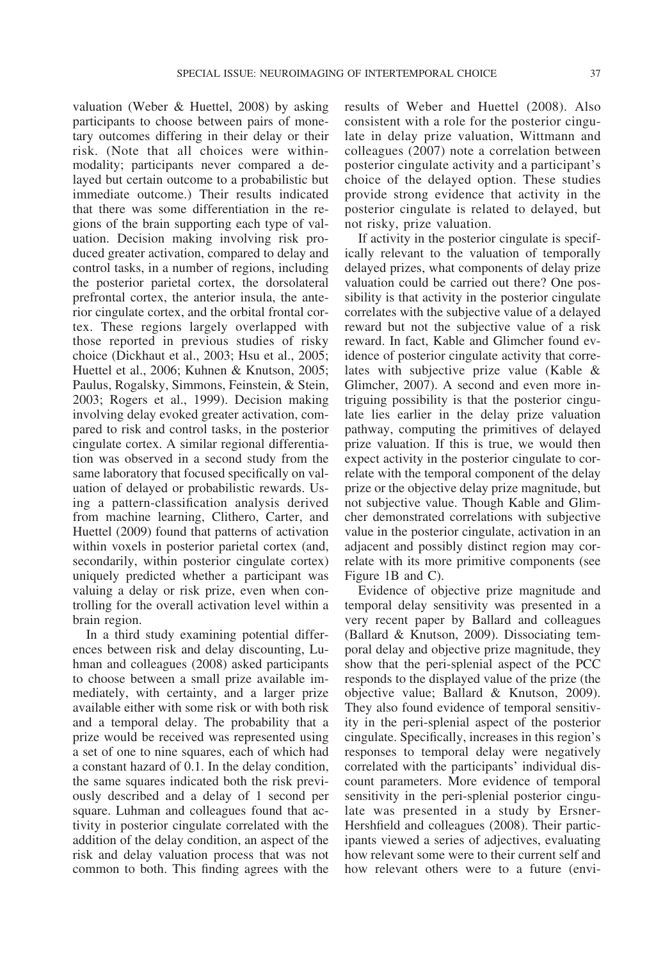valuation (Weber & Huettel, 2008) by asking participants to choose between pairs of monetary outcomes differing in their delay or their risk. (Note that all choices were withinmodality; participants never compared a delayed but certain outcome to a probabilistic but immediate outcome.) Their results indicated that there was some differentiation in the regions of the brain supporting each type of valuation. Decision making involving risk produced greater activation, compared to delay and control tasks, in a number of regions, including the posterior parietal cortex, the dorsolateral prefrontal cortex, the anterior insula, the anterior cingulate cortex, and the orbital frontal cortex. These regions largely overlapped with those reported in previous studies of risky choice (Dickhaut et al., 2003; Hsu et al., 2005; Huettel et al., 2006; Kuhnen & Knutson, 2005; Paulus, Rogalsky, Simmons, Feinstein, & Stein, 2003; Rogers et al., 1999). Decision making involving delay evoked greater activation, compared to risk and control tasks, in the posterior cingulate cortex. A similar regional differentiation was observed in a second study from the same laboratory that focused specifically on valuation of delayed or probabilistic rewards. Using a pattern-classification analysis derived from machine learning, Clithero, Carter, and Huettel (2009) found that patterns of activation within voxels in posterior parietal cortex (and, secondarily, within posterior cingulate cortex) uniquely predicted whether a participant was valuing a delay or risk prize, even when controlling for the overall activation level within a brain region.

In a third study examining potential differences between risk and delay discounting, Luhman and colleagues (2008) asked participants to choose between a small prize available immediately, with certainty, and a larger prize available either with some risk or with both risk and a temporal delay. The probability that a prize would be received was represented using a set of one to nine squares, each of which had a constant hazard of 0.1. In the delay condition, the same squares indicated both the risk previously described and a delay of 1 second per square. Luhman and colleagues found that activity in posterior cingulate correlated with the addition of the delay condition, an aspect of the risk and delay valuation process that was not common to both. This finding agrees with the

results of Weber and Huettel (2008). Also consistent with a role for the posterior cingulate in delay prize valuation, Wittmann and colleagues (2007) note a correlation between posterior cingulate activity and a participant's choice of the delayed option. These studies provide strong evidence that activity in the posterior cingulate is related to delayed, but not risky, prize valuation.

If activity in the posterior cingulate is specifically relevant to the valuation of temporally delayed prizes, what components of delay prize valuation could be carried out there? One possibility is that activity in the posterior cingulate correlates with the subjective value of a delayed reward but not the subjective value of a risk reward. In fact, Kable and Glimcher found evidence of posterior cingulate activity that correlates with subjective prize value (Kable & Glimcher, 2007). A second and even more intriguing possibility is that the posterior cingulate lies earlier in the delay prize valuation pathway, computing the primitives of delayed prize valuation. If this is true, we would then expect activity in the posterior cingulate to correlate with the temporal component of the delay prize or the objective delay prize magnitude, but not subjective value. Though Kable and Glimcher demonstrated correlations with subjective value in the posterior cingulate, activation in an adjacent and possibly distinct region may correlate with its more primitive components (see Figure 1B and C).

Evidence of objective prize magnitude and temporal delay sensitivity was presented in a very recent paper by Ballard and colleagues (Ballard & Knutson, 2009). Dissociating temporal delay and objective prize magnitude, they show that the peri-splenial aspect of the PCC responds to the displayed value of the prize (the objective value; Ballard & Knutson, 2009). They also found evidence of temporal sensitivity in the peri-splenial aspect of the posterior cingulate. Specifically, increases in this region's responses to temporal delay were negatively correlated with the participants' individual discount parameters. More evidence of temporal sensitivity in the peri-splenial posterior cingulate was presented in a study by Ersner-Hershfield and colleagues (2008). Their participants viewed a series of adjectives, evaluating how relevant some were to their current self and how relevant others were to a future (envi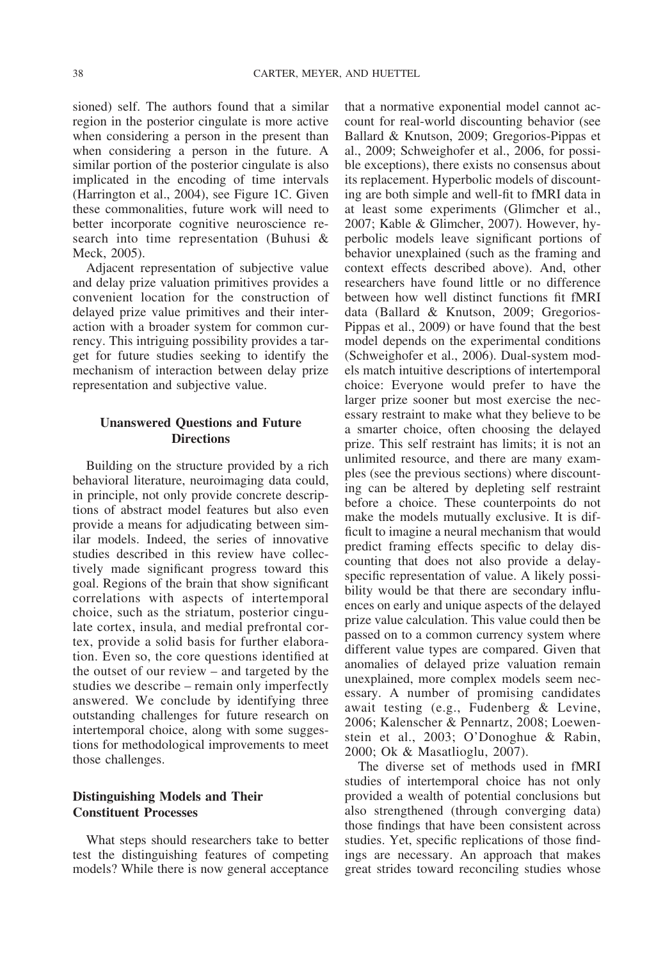sioned) self. The authors found that a similar region in the posterior cingulate is more active when considering a person in the present than when considering a person in the future. A similar portion of the posterior cingulate is also implicated in the encoding of time intervals (Harrington et al., 2004), see Figure 1C. Given these commonalities, future work will need to better incorporate cognitive neuroscience research into time representation (Buhusi & Meck, 2005).

Adjacent representation of subjective value and delay prize valuation primitives provides a convenient location for the construction of delayed prize value primitives and their interaction with a broader system for common currency. This intriguing possibility provides a target for future studies seeking to identify the mechanism of interaction between delay prize representation and subjective value.

# **Unanswered Questions and Future Directions**

Building on the structure provided by a rich behavioral literature, neuroimaging data could, in principle, not only provide concrete descriptions of abstract model features but also even provide a means for adjudicating between similar models. Indeed, the series of innovative studies described in this review have collectively made significant progress toward this goal. Regions of the brain that show significant correlations with aspects of intertemporal choice, such as the striatum, posterior cingulate cortex, insula, and medial prefrontal cortex, provide a solid basis for further elaboration. Even so, the core questions identified at the outset of our review – and targeted by the studies we describe – remain only imperfectly answered. We conclude by identifying three outstanding challenges for future research on intertemporal choice, along with some suggestions for methodological improvements to meet those challenges.

# **Distinguishing Models and Their Constituent Processes**

What steps should researchers take to better test the distinguishing features of competing models? While there is now general acceptance

that a normative exponential model cannot account for real-world discounting behavior (see Ballard & Knutson, 2009; Gregorios-Pippas et al., 2009; Schweighofer et al., 2006, for possible exceptions), there exists no consensus about its replacement. Hyperbolic models of discounting are both simple and well-fit to fMRI data in at least some experiments (Glimcher et al., 2007; Kable & Glimcher, 2007). However, hyperbolic models leave significant portions of behavior unexplained (such as the framing and context effects described above). And, other researchers have found little or no difference between how well distinct functions fit fMRI data (Ballard & Knutson, 2009; Gregorios-Pippas et al., 2009) or have found that the best model depends on the experimental conditions (Schweighofer et al., 2006). Dual-system models match intuitive descriptions of intertemporal choice: Everyone would prefer to have the larger prize sooner but most exercise the necessary restraint to make what they believe to be a smarter choice, often choosing the delayed prize. This self restraint has limits; it is not an unlimited resource, and there are many examples (see the previous sections) where discounting can be altered by depleting self restraint before a choice. These counterpoints do not make the models mutually exclusive. It is difficult to imagine a neural mechanism that would predict framing effects specific to delay discounting that does not also provide a delayspecific representation of value. A likely possibility would be that there are secondary influences on early and unique aspects of the delayed prize value calculation. This value could then be passed on to a common currency system where different value types are compared. Given that anomalies of delayed prize valuation remain unexplained, more complex models seem necessary. A number of promising candidates await testing (e.g., Fudenberg & Levine, 2006; Kalenscher & Pennartz, 2008; Loewenstein et al., 2003; O'Donoghue & Rabin, 2000; Ok & Masatlioglu, 2007).

The diverse set of methods used in fMRI studies of intertemporal choice has not only provided a wealth of potential conclusions but also strengthened (through converging data) those findings that have been consistent across studies. Yet, specific replications of those findings are necessary. An approach that makes great strides toward reconciling studies whose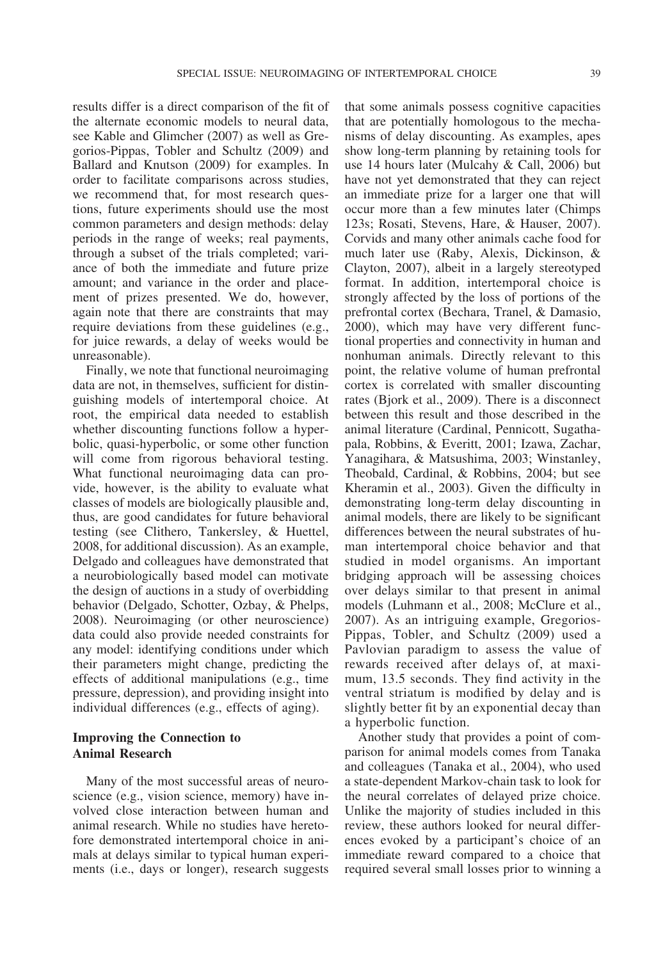results differ is a direct comparison of the fit of the alternate economic models to neural data, see Kable and Glimcher (2007) as well as Gregorios-Pippas, Tobler and Schultz (2009) and Ballard and Knutson (2009) for examples. In order to facilitate comparisons across studies, we recommend that, for most research questions, future experiments should use the most common parameters and design methods: delay periods in the range of weeks; real payments, through a subset of the trials completed; variance of both the immediate and future prize amount; and variance in the order and placement of prizes presented. We do, however, again note that there are constraints that may require deviations from these guidelines (e.g., for juice rewards, a delay of weeks would be unreasonable).

Finally, we note that functional neuroimaging data are not, in themselves, sufficient for distinguishing models of intertemporal choice. At root, the empirical data needed to establish whether discounting functions follow a hyperbolic, quasi-hyperbolic, or some other function will come from rigorous behavioral testing. What functional neuroimaging data can provide, however, is the ability to evaluate what classes of models are biologically plausible and, thus, are good candidates for future behavioral testing (see Clithero, Tankersley, & Huettel, 2008, for additional discussion). As an example, Delgado and colleagues have demonstrated that a neurobiologically based model can motivate the design of auctions in a study of overbidding behavior (Delgado, Schotter, Ozbay, & Phelps, 2008). Neuroimaging (or other neuroscience) data could also provide needed constraints for any model: identifying conditions under which their parameters might change, predicting the effects of additional manipulations (e.g., time pressure, depression), and providing insight into individual differences (e.g., effects of aging).

# **Improving the Connection to Animal Research**

Many of the most successful areas of neuroscience (e.g., vision science, memory) have involved close interaction between human and animal research. While no studies have heretofore demonstrated intertemporal choice in animals at delays similar to typical human experiments (i.e., days or longer), research suggests

that some animals possess cognitive capacities that are potentially homologous to the mechanisms of delay discounting. As examples, apes show long-term planning by retaining tools for use 14 hours later (Mulcahy & Call, 2006) but have not yet demonstrated that they can reject an immediate prize for a larger one that will occur more than a few minutes later (Chimps 123s; Rosati, Stevens, Hare, & Hauser, 2007). Corvids and many other animals cache food for much later use (Raby, Alexis, Dickinson, & Clayton, 2007), albeit in a largely stereotyped format. In addition, intertemporal choice is strongly affected by the loss of portions of the prefrontal cortex (Bechara, Tranel, & Damasio, 2000), which may have very different functional properties and connectivity in human and nonhuman animals. Directly relevant to this point, the relative volume of human prefrontal cortex is correlated with smaller discounting rates (Bjork et al., 2009). There is a disconnect between this result and those described in the animal literature (Cardinal, Pennicott, Sugathapala, Robbins, & Everitt, 2001; Izawa, Zachar, Yanagihara, & Matsushima, 2003; Winstanley, Theobald, Cardinal, & Robbins, 2004; but see Kheramin et al., 2003). Given the difficulty in demonstrating long-term delay discounting in animal models, there are likely to be significant differences between the neural substrates of human intertemporal choice behavior and that studied in model organisms. An important bridging approach will be assessing choices over delays similar to that present in animal models (Luhmann et al., 2008; McClure et al., 2007). As an intriguing example, Gregorios-Pippas, Tobler, and Schultz (2009) used a Pavlovian paradigm to assess the value of rewards received after delays of, at maximum, 13.5 seconds. They find activity in the ventral striatum is modified by delay and is slightly better fit by an exponential decay than a hyperbolic function.

Another study that provides a point of comparison for animal models comes from Tanaka and colleagues (Tanaka et al., 2004), who used a state-dependent Markov-chain task to look for the neural correlates of delayed prize choice. Unlike the majority of studies included in this review, these authors looked for neural differences evoked by a participant's choice of an immediate reward compared to a choice that required several small losses prior to winning a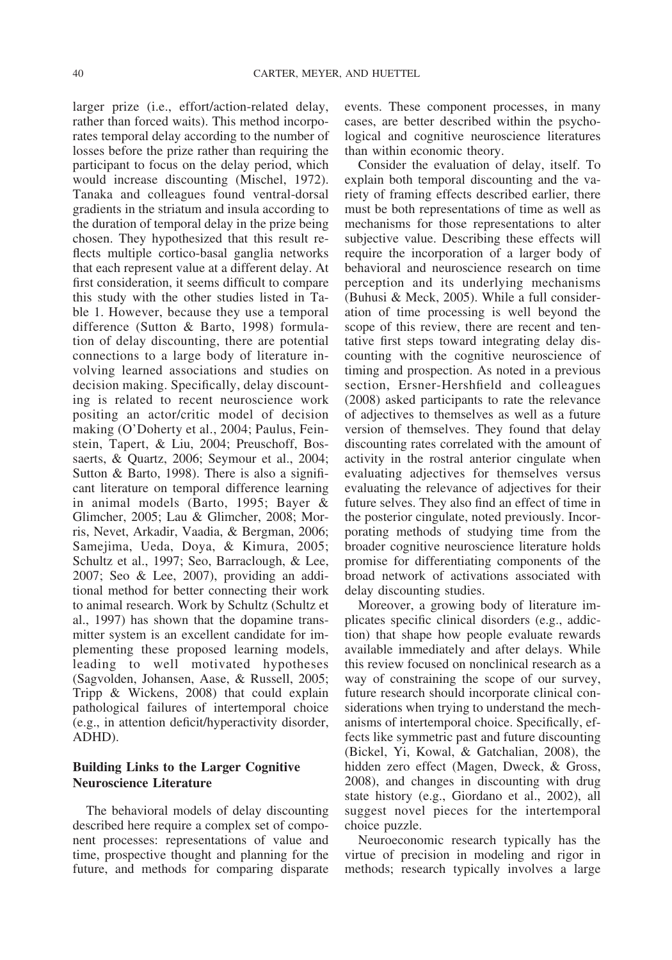larger prize (i.e., effort/action-related delay, rather than forced waits). This method incorporates temporal delay according to the number of losses before the prize rather than requiring the participant to focus on the delay period, which would increase discounting (Mischel, 1972). Tanaka and colleagues found ventral-dorsal gradients in the striatum and insula according to the duration of temporal delay in the prize being chosen. They hypothesized that this result reflects multiple cortico-basal ganglia networks that each represent value at a different delay. At first consideration, it seems difficult to compare this study with the other studies listed in Table 1. However, because they use a temporal difference (Sutton & Barto, 1998) formulation of delay discounting, there are potential connections to a large body of literature involving learned associations and studies on decision making. Specifically, delay discounting is related to recent neuroscience work positing an actor/critic model of decision making (O'Doherty et al., 2004; Paulus, Feinstein, Tapert, & Liu, 2004; Preuschoff, Bossaerts, & Quartz, 2006; Seymour et al., 2004; Sutton & Barto, 1998). There is also a significant literature on temporal difference learning in animal models (Barto, 1995; Bayer & Glimcher, 2005; Lau & Glimcher, 2008; Morris, Nevet, Arkadir, Vaadia, & Bergman, 2006; Samejima, Ueda, Doya, & Kimura, 2005; Schultz et al., 1997; Seo, Barraclough, & Lee, 2007; Seo & Lee, 2007), providing an additional method for better connecting their work to animal research. Work by Schultz (Schultz et al., 1997) has shown that the dopamine transmitter system is an excellent candidate for implementing these proposed learning models, leading to well motivated hypotheses (Sagvolden, Johansen, Aase, & Russell, 2005; Tripp & Wickens, 2008) that could explain pathological failures of intertemporal choice (e.g., in attention deficit/hyperactivity disorder, ADHD).

# **Building Links to the Larger Cognitive Neuroscience Literature**

The behavioral models of delay discounting described here require a complex set of component processes: representations of value and time, prospective thought and planning for the future, and methods for comparing disparate

events. These component processes, in many cases, are better described within the psychological and cognitive neuroscience literatures than within economic theory.

Consider the evaluation of delay, itself. To explain both temporal discounting and the variety of framing effects described earlier, there must be both representations of time as well as mechanisms for those representations to alter subjective value. Describing these effects will require the incorporation of a larger body of behavioral and neuroscience research on time perception and its underlying mechanisms (Buhusi & Meck, 2005). While a full consideration of time processing is well beyond the scope of this review, there are recent and tentative first steps toward integrating delay discounting with the cognitive neuroscience of timing and prospection. As noted in a previous section, Ersner-Hershfield and colleagues (2008) asked participants to rate the relevance of adjectives to themselves as well as a future version of themselves. They found that delay discounting rates correlated with the amount of activity in the rostral anterior cingulate when evaluating adjectives for themselves versus evaluating the relevance of adjectives for their future selves. They also find an effect of time in the posterior cingulate, noted previously. Incorporating methods of studying time from the broader cognitive neuroscience literature holds promise for differentiating components of the broad network of activations associated with delay discounting studies.

Moreover, a growing body of literature implicates specific clinical disorders (e.g., addiction) that shape how people evaluate rewards available immediately and after delays. While this review focused on nonclinical research as a way of constraining the scope of our survey, future research should incorporate clinical considerations when trying to understand the mechanisms of intertemporal choice. Specifically, effects like symmetric past and future discounting (Bickel, Yi, Kowal, & Gatchalian, 2008), the hidden zero effect (Magen, Dweck, & Gross, 2008), and changes in discounting with drug state history (e.g., Giordano et al., 2002), all suggest novel pieces for the intertemporal choice puzzle.

Neuroeconomic research typically has the virtue of precision in modeling and rigor in methods; research typically involves a large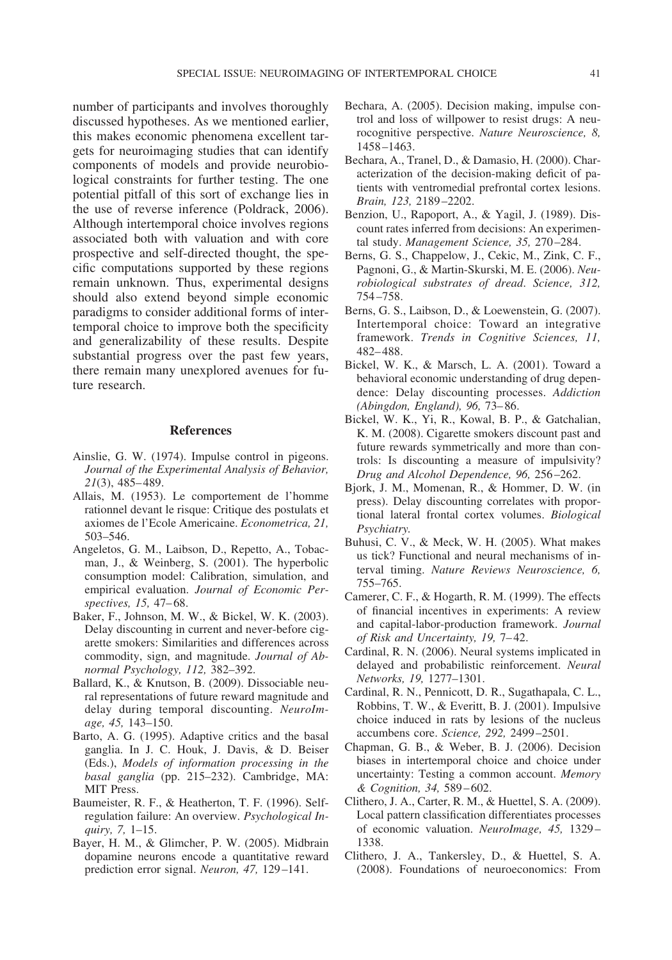number of participants and involves thoroughly discussed hypotheses. As we mentioned earlier, this makes economic phenomena excellent targets for neuroimaging studies that can identify components of models and provide neurobiological constraints for further testing. The one potential pitfall of this sort of exchange lies in the use of reverse inference (Poldrack, 2006). Although intertemporal choice involves regions associated both with valuation and with core prospective and self-directed thought, the specific computations supported by these regions remain unknown. Thus, experimental designs should also extend beyond simple economic paradigms to consider additional forms of intertemporal choice to improve both the specificity and generalizability of these results. Despite substantial progress over the past few years, there remain many unexplored avenues for future research.

#### **References**

- Ainslie, G. W. (1974). Impulse control in pigeons. *Journal of the Experimental Analysis of Behavior, 21*(3), 485– 489.
- Allais, M. (1953). Le comportement de l'homme rationnel devant le risque: Critique des postulats et axiomes de l'Ecole Americaine. *Econometrica, 21,* 503–546.
- Angeletos, G. M., Laibson, D., Repetto, A., Tobacman, J., & Weinberg, S. (2001). The hyperbolic consumption model: Calibration, simulation, and empirical evaluation. *Journal of Economic Perspectives, 15,* 47– 68.
- Baker, F., Johnson, M. W., & Bickel, W. K. (2003). Delay discounting in current and never-before cigarette smokers: Similarities and differences across commodity, sign, and magnitude. *Journal of Abnormal Psychology, 112,* 382–392.
- Ballard, K., & Knutson, B. (2009). Dissociable neural representations of future reward magnitude and delay during temporal discounting. *NeuroImage, 45,* 143–150.
- Barto, A. G. (1995). Adaptive critics and the basal ganglia. In J. C. Houk, J. Davis, & D. Beiser (Eds.), *Models of information processing in the basal ganglia* (pp. 215–232). Cambridge, MA: MIT Press.
- Baumeister, R. F., & Heatherton, T. F. (1996). Selfregulation failure: An overview. *Psychological Inquiry, 7,* 1–15.
- Bayer, H. M., & Glimcher, P. W. (2005). Midbrain dopamine neurons encode a quantitative reward prediction error signal. *Neuron, 47,* 129 –141.
- Bechara, A. (2005). Decision making, impulse control and loss of willpower to resist drugs: A neurocognitive perspective. *Nature Neuroscience, 8,* 1458 –1463.
- Bechara, A., Tranel, D., & Damasio, H. (2000). Characterization of the decision-making deficit of patients with ventromedial prefrontal cortex lesions. *Brain, 123,* 2189 –2202.
- Benzion, U., Rapoport, A., & Yagil, J. (1989). Discount rates inferred from decisions: An experimental study. *Management Science, 35,* 270 –284.
- Berns, G. S., Chappelow, J., Cekic, M., Zink, C. F., Pagnoni, G., & Martin-Skurski, M. E. (2006). *Neurobiological substrates of dread*. *Science, 312,* 754 –758.
- Berns, G. S., Laibson, D., & Loewenstein, G. (2007). Intertemporal choice: Toward an integrative framework. *Trends in Cognitive Sciences, 11,* 482– 488.
- Bickel, W. K., & Marsch, L. A. (2001). Toward a behavioral economic understanding of drug dependence: Delay discounting processes. *Addiction (Abingdon, England), 96,* 73– 86.
- Bickel, W. K., Yi, R., Kowal, B. P., & Gatchalian, K. M. (2008). Cigarette smokers discount past and future rewards symmetrically and more than controls: Is discounting a measure of impulsivity? *Drug and Alcohol Dependence, 96,* 256 –262.
- Bjork, J. M., Momenan, R., & Hommer, D. W. (in press). Delay discounting correlates with proportional lateral frontal cortex volumes. *Biological Psychiatry.*
- Buhusi, C. V., & Meck, W. H. (2005). What makes us tick? Functional and neural mechanisms of interval timing. *Nature Reviews Neuroscience, 6,* 755–765.
- Camerer, C. F., & Hogarth, R. M. (1999). The effects of financial incentives in experiments: A review and capital-labor-production framework. *Journal of Risk and Uncertainty, 19,* 7– 42.
- Cardinal, R. N. (2006). Neural systems implicated in delayed and probabilistic reinforcement. *Neural Networks, 19,* 1277–1301.
- Cardinal, R. N., Pennicott, D. R., Sugathapala, C. L., Robbins, T. W., & Everitt, B. J. (2001). Impulsive choice induced in rats by lesions of the nucleus accumbens core. *Science, 292,* 2499 –2501.
- Chapman, G. B., & Weber, B. J. (2006). Decision biases in intertemporal choice and choice under uncertainty: Testing a common account. *Memory & Cognition, 34,* 589 – 602.
- Clithero, J. A., Carter, R. M., & Huettel, S. A. (2009). Local pattern classification differentiates processes of economic valuation. *NeuroImage, 45,* 1329 – 1338.
- Clithero, J. A., Tankersley, D., & Huettel, S. A. (2008). Foundations of neuroeconomics: From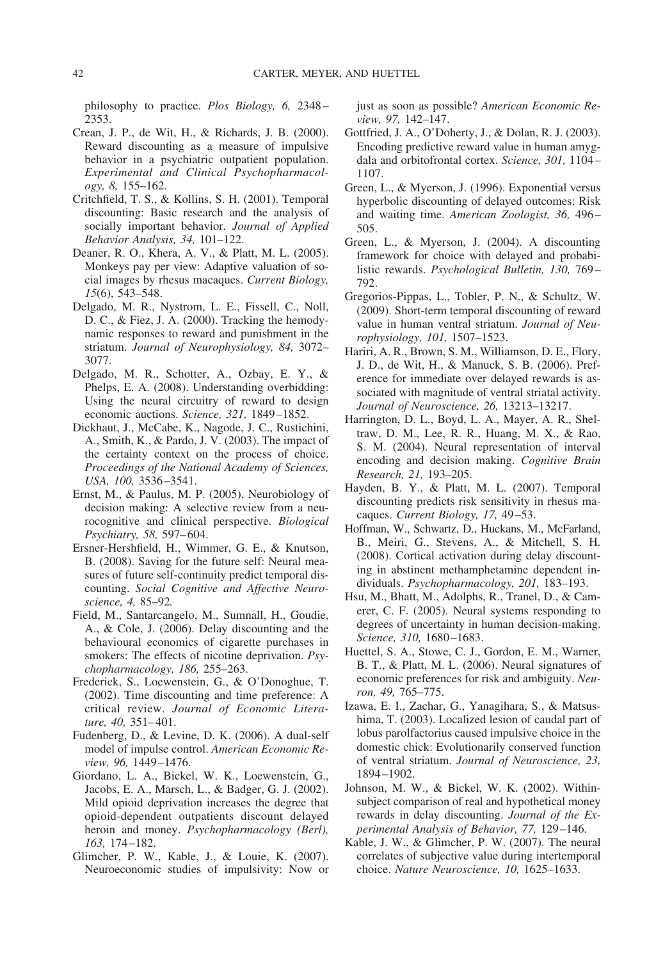philosophy to practice. *Plos Biology, 6,* 2348 – 2353.

- Crean, J. P., de Wit, H., & Richards, J. B. (2000). Reward discounting as a measure of impulsive behavior in a psychiatric outpatient population. *Experimental and Clinical Psychopharmacology, 8,* 155–162.
- Critchfield, T. S., & Kollins, S. H. (2001). Temporal discounting: Basic research and the analysis of socially important behavior. *Journal of Applied Behavior Analysis, 34,* 101–122.
- Deaner, R. O., Khera, A. V., & Platt, M. L. (2005). Monkeys pay per view: Adaptive valuation of social images by rhesus macaques. *Current Biology, 15*(6), 543–548.
- Delgado, M. R., Nystrom, L. E., Fissell, C., Noll, D. C., & Fiez, J. A. (2000). Tracking the hemodynamic responses to reward and punishment in the striatum. *Journal of Neurophysiology, 84,* 3072– 3077.
- Delgado, M. R., Schotter, A., Ozbay, E. Y., & Phelps, E. A. (2008). Understanding overbidding: Using the neural circuitry of reward to design economic auctions. *Science, 321,* 1849 –1852.
- Dickhaut, J., McCabe, K., Nagode, J. C., Rustichini, A., Smith, K., & Pardo, J. V. (2003). The impact of the certainty context on the process of choice. *Proceedings of the National Academy of Sciences, USA, 100,* 3536 –3541.
- Ernst, M., & Paulus, M. P. (2005). Neurobiology of decision making: A selective review from a neurocognitive and clinical perspective. *Biological Psychiatry, 58,* 597– 604.
- Ersner-Hershfield, H., Wimmer, G. E., & Knutson, B. (2008). Saving for the future self: Neural measures of future self-continuity predict temporal discounting. *Social Cognitive and Affective Neuroscience, 4,* 85–92*.*
- Field, M., Santarcangelo, M., Sumnall, H., Goudie, A., & Cole, J. (2006). Delay discounting and the behavioural economics of cigarette purchases in smokers: The effects of nicotine deprivation. *Psychopharmacology, 186,* 255–263.
- Frederick, S., Loewenstein, G., & O'Donoghue, T. (2002). Time discounting and time preference: A critical review. *Journal of Economic Literature, 40,* 351– 401.
- Fudenberg, D., & Levine, D. K. (2006). A dual-self model of impulse control. *American Economic Review, 96,* 1449 –1476.
- Giordano, L. A., Bickel, W. K., Loewenstein, G., Jacobs, E. A., Marsch, L., & Badger, G. J. (2002). Mild opioid deprivation increases the degree that opioid-dependent outpatients discount delayed heroin and money. *Psychopharmacology (Berl), 163,* 174 –182.
- Glimcher, P. W., Kable, J., & Louie, K. (2007). Neuroeconomic studies of impulsivity: Now or

just as soon as possible? *American Economic Review, 97,* 142–147.

- Gottfried, J. A., O'Doherty, J., & Dolan, R. J. (2003). Encoding predictive reward value in human amygdala and orbitofrontal cortex. *Science, 301,* 1104 – 1107.
- Green, L., & Myerson, J. (1996). Exponential versus hyperbolic discounting of delayed outcomes: Risk and waiting time. *American Zoologist, 36,* 496 – 505.
- Green, L., & Myerson, J. (2004). A discounting framework for choice with delayed and probabilistic rewards. *Psychological Bulletin, 130,* 769 – 792.
- Gregorios-Pippas, L., Tobler, P. N., & Schultz, W. (2009). Short-term temporal discounting of reward value in human ventral striatum. *Journal of Neurophysiology, 101,* 1507–1523.
- Hariri, A. R., Brown, S. M., Williamson, D. E., Flory, J. D., de Wit, H., & Manuck, S. B. (2006). Preference for immediate over delayed rewards is associated with magnitude of ventral striatal activity. *Journal of Neuroscience, 26,* 13213–13217.
- Harrington, D. L., Boyd, L. A., Mayer, A. R., Sheltraw, D. M., Lee, R. R., Huang, M. X., & Rao, S. M. (2004). Neural representation of interval encoding and decision making. *Cognitive Brain Research, 21,* 193–205.
- Hayden, B. Y., & Platt, M. L. (2007). Temporal discounting predicts risk sensitivity in rhesus macaques. *Current Biology, 17,* 49 –53.
- Hoffman, W., Schwartz, D., Huckans, M., McFarland, B., Meiri, G., Stevens, A., & Mitchell, S. H. (2008). Cortical activation during delay discounting in abstinent methamphetamine dependent individuals. *Psychopharmacology, 201,* 183–193.
- Hsu, M., Bhatt, M., Adolphs, R., Tranel, D., & Camerer, C. F. (2005). Neural systems responding to degrees of uncertainty in human decision-making. *Science, 310,* 1680 –1683.
- Huettel, S. A., Stowe, C. J., Gordon, E. M., Warner, B. T., & Platt, M. L. (2006). Neural signatures of economic preferences for risk and ambiguity. *Neuron, 49,* 765–775.
- Izawa, E. I., Zachar, G., Yanagihara, S., & Matsushima, T. (2003). Localized lesion of caudal part of lobus parolfactorius caused impulsive choice in the domestic chick: Evolutionarily conserved function of ventral striatum. *Journal of Neuroscience, 23,* 1894 –1902.
- Johnson, M. W., & Bickel, W. K. (2002). Withinsubject comparison of real and hypothetical money rewards in delay discounting. *Journal of the Experimental Analysis of Behavior, 77,* 129 –146.
- Kable, J. W., & Glimcher, P. W. (2007). The neural correlates of subjective value during intertemporal choice. *Nature Neuroscience, 10,* 1625–1633.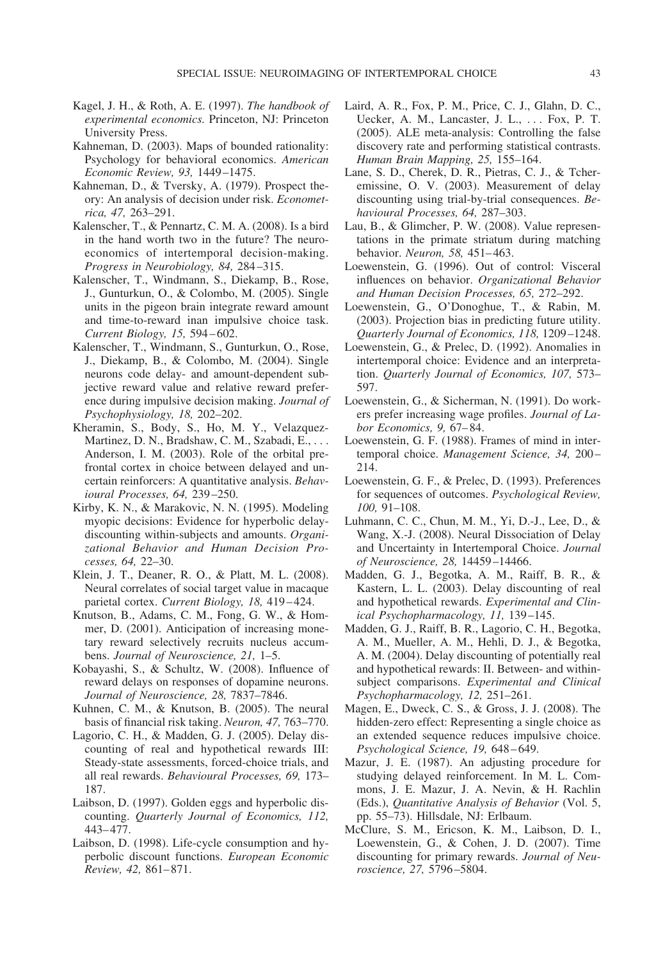- Kagel, J. H., & Roth, A. E. (1997). *The handbook of experimental economics.* Princeton, NJ: Princeton University Press.
- Kahneman, D. (2003). Maps of bounded rationality: Psychology for behavioral economics. *American Economic Review, 93,* 1449 –1475.
- Kahneman, D., & Tversky, A. (1979). Prospect theory: An analysis of decision under risk. *Econometrica, 47,* 263–291.
- Kalenscher, T., & Pennartz, C. M. A. (2008). Is a bird in the hand worth two in the future? The neuroeconomics of intertemporal decision-making. *Progress in Neurobiology, 84,* 284 –315.
- Kalenscher, T., Windmann, S., Diekamp, B., Rose, J., Gunturkun, O., & Colombo, M. (2005). Single units in the pigeon brain integrate reward amount and time-to-reward inan impulsive choice task. *Current Biology, 15,* 594 – 602.
- Kalenscher, T., Windmann, S., Gunturkun, O., Rose, J., Diekamp, B., & Colombo, M. (2004). Single neurons code delay- and amount-dependent subjective reward value and relative reward preference during impulsive decision making. *Journal of Psychophysiology, 18,* 202–202.
- Kheramin, S., Body, S., Ho, M. Y., Velazquez-Martinez, D. N., Bradshaw, C. M., Szabadi, E., ... Anderson, I. M. (2003). Role of the orbital prefrontal cortex in choice between delayed and uncertain reinforcers: A quantitative analysis. *Behavioural Processes, 64,* 239 –250.
- Kirby, K. N., & Marakovic, N. N. (1995). Modeling myopic decisions: Evidence for hyperbolic delaydiscounting within-subjects and amounts. *Organizational Behavior and Human Decision Processes, 64,* 22–30.
- Klein, J. T., Deaner, R. O., & Platt, M. L. (2008). Neural correlates of social target value in macaque parietal cortex. *Current Biology, 18, 419-424*.
- Knutson, B., Adams, C. M., Fong, G. W., & Hommer, D. (2001). Anticipation of increasing monetary reward selectively recruits nucleus accumbens. *Journal of Neuroscience, 21,* 1–5.
- Kobayashi, S., & Schultz, W. (2008). Influence of reward delays on responses of dopamine neurons. *Journal of Neuroscience, 28,* 7837–7846.
- Kuhnen, C. M., & Knutson, B. (2005). The neural basis of financial risk taking. *Neuron, 47,* 763–770.
- Lagorio, C. H., & Madden, G. J. (2005). Delay discounting of real and hypothetical rewards III: Steady-state assessments, forced-choice trials, and all real rewards. *Behavioural Processes, 69,* 173– 187.
- Laibson, D. (1997). Golden eggs and hyperbolic discounting. *Quarterly Journal of Economics, 112,* 443– 477.
- Laibson, D. (1998). Life-cycle consumption and hyperbolic discount functions. *European Economic Review, 42,* 861– 871.
- Laird, A. R., Fox, P. M., Price, C. J., Glahn, D. C., Uecker, A. M., Lancaster, J. L., . . . Fox, P. T. (2005). ALE meta-analysis: Controlling the false discovery rate and performing statistical contrasts. *Human Brain Mapping, 25,* 155–164.
- Lane, S. D., Cherek, D. R., Pietras, C. J., & Tcheremissine, O. V. (2003). Measurement of delay discounting using trial-by-trial consequences. *Behavioural Processes, 64,* 287–303.
- Lau, B., & Glimcher, P. W. (2008). Value representations in the primate striatum during matching behavior. *Neuron, 58,* 451– 463.
- Loewenstein, G. (1996). Out of control: Visceral influences on behavior. *Organizational Behavior and Human Decision Processes, 65,* 272–292.
- Loewenstein, G., O'Donoghue, T., & Rabin, M. (2003). Projection bias in predicting future utility. *Quarterly Journal of Economics, 118,* 1209 –1248.
- Loewenstein, G., & Prelec, D. (1992). Anomalies in intertemporal choice: Evidence and an interpretation. *Quarterly Journal of Economics, 107,* 573– 597.
- Loewenstein, G., & Sicherman, N. (1991). Do workers prefer increasing wage profiles. *Journal of Labor Economics, 9,* 67– 84.
- Loewenstein, G. F. (1988). Frames of mind in intertemporal choice. *Management Science*, 34, 200-214.
- Loewenstein, G. F., & Prelec, D. (1993). Preferences for sequences of outcomes. *Psychological Review, 100,* 91–108.
- Luhmann, C. C., Chun, M. M., Yi, D.-J., Lee, D., & Wang, X.-J. (2008). Neural Dissociation of Delay and Uncertainty in Intertemporal Choice. *Journal of Neuroscience, 28,* 14459 –14466.
- Madden, G. J., Begotka, A. M., Raiff, B. R., & Kastern, L. L. (2003). Delay discounting of real and hypothetical rewards. *Experimental and Clinical Psychopharmacology, 11,* 139 –145.
- Madden, G. J., Raiff, B. R., Lagorio, C. H., Begotka, A. M., Mueller, A. M., Hehli, D. J., & Begotka, A. M. (2004). Delay discounting of potentially real and hypothetical rewards: II. Between- and withinsubject comparisons. *Experimental and Clinical Psychopharmacology, 12,* 251–261.
- Magen, E., Dweck, C. S., & Gross, J. J. (2008). The hidden-zero effect: Representing a single choice as an extended sequence reduces impulsive choice. *Psychological Science, 19,* 648 – 649.
- Mazur, J. E. (1987). An adjusting procedure for studying delayed reinforcement. In M. L. Commons, J. E. Mazur, J. A. Nevin, & H. Rachlin (Eds.), *Quantitative Analysis of Behavior* (Vol. 5, pp. 55–73). Hillsdale, NJ: Erlbaum.
- McClure, S. M., Ericson, K. M., Laibson, D. I., Loewenstein, G., & Cohen, J. D. (2007). Time discounting for primary rewards. *Journal of Neuroscience, 27,* 5796 –5804.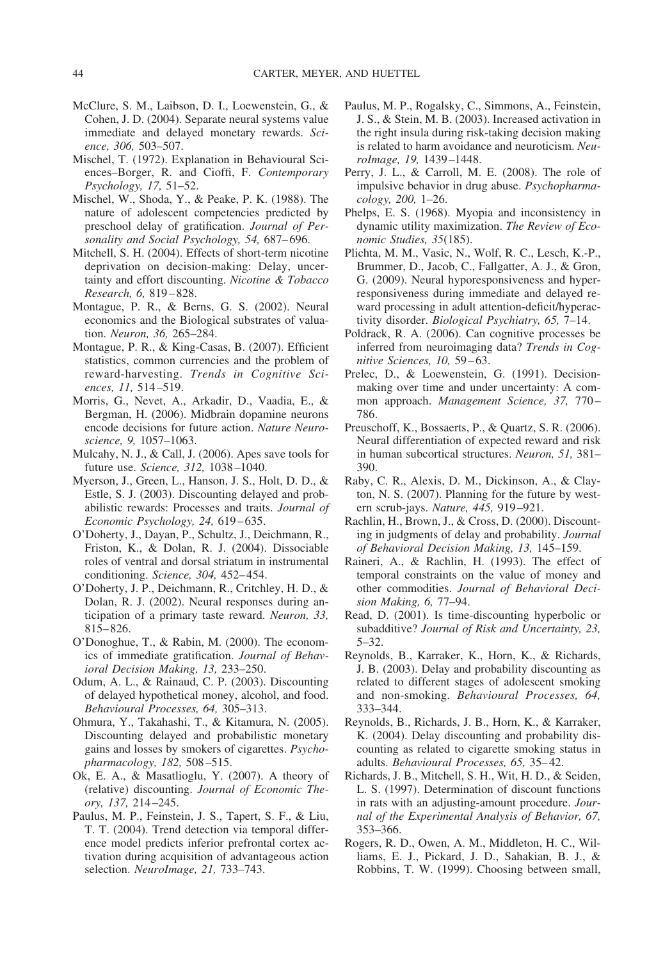- McClure, S. M., Laibson, D. I., Loewenstein, G., & Cohen, J. D. (2004). Separate neural systems value immediate and delayed monetary rewards. *Science, 306,* 503–507.
- Mischel, T. (1972). Explanation in Behavioural Sciences–Borger, R. and Cioffi, F. *Contemporary Psychology, 17,* 51–52.
- Mischel, W., Shoda, Y., & Peake, P. K. (1988). The nature of adolescent competencies predicted by preschool delay of gratification. *Journal of Personality and Social Psychology, 54,* 687– 696.
- Mitchell, S. H. (2004). Effects of short-term nicotine deprivation on decision-making: Delay, uncertainty and effort discounting. *Nicotine & Tobacco Research, 6,* 819 – 828.
- Montague, P. R., & Berns, G. S. (2002). Neural economics and the Biological substrates of valuation. *Neuron, 36,* 265–284.
- Montague, P. R., & King-Casas, B. (2007). Efficient statistics, common currencies and the problem of reward-harvesting. *Trends in Cognitive Sciences, 11,* 514 –519.
- Morris, G., Nevet, A., Arkadir, D., Vaadia, E., & Bergman, H. (2006). Midbrain dopamine neurons encode decisions for future action. *Nature Neuroscience, 9,* 1057–1063.
- Mulcahy, N. J., & Call, J. (2006). Apes save tools for future use. *Science, 312,* 1038 –1040.
- Myerson, J., Green, L., Hanson, J. S., Holt, D. D., & Estle, S. J. (2003). Discounting delayed and probabilistic rewards: Processes and traits. *Journal of Economic Psychology, 24,* 619 – 635.
- O'Doherty, J., Dayan, P., Schultz, J., Deichmann, R., Friston, K., & Dolan, R. J. (2004). Dissociable roles of ventral and dorsal striatum in instrumental conditioning. *Science, 304,* 452– 454.
- O'Doherty, J. P., Deichmann, R., Critchley, H. D., & Dolan, R. J. (2002). Neural responses during anticipation of a primary taste reward. *Neuron, 33,* 815– 826.
- O'Donoghue, T., & Rabin, M. (2000). The economics of immediate gratification. *Journal of Behavioral Decision Making, 13,* 233–250.
- Odum, A. L., & Rainaud, C. P. (2003). Discounting of delayed hypothetical money, alcohol, and food. *Behavioural Processes, 64,* 305–313.
- Ohmura, Y., Takahashi, T., & Kitamura, N. (2005). Discounting delayed and probabilistic monetary gains and losses by smokers of cigarettes. *Psychopharmacology, 182,* 508 –515.
- Ok, E. A., & Masatlioglu, Y. (2007). A theory of (relative) discounting. *Journal of Economic Theory, 137,* 214 –245.
- Paulus, M. P., Feinstein, J. S., Tapert, S. F., & Liu, T. T. (2004). Trend detection via temporal difference model predicts inferior prefrontal cortex activation during acquisition of advantageous action selection. *NeuroImage, 21,* 733–743.
- Paulus, M. P., Rogalsky, C., Simmons, A., Feinstein, J. S., & Stein, M. B. (2003). Increased activation in the right insula during risk-taking decision making is related to harm avoidance and neuroticism. *NeuroImage, 19,* 1439 –1448.
- Perry, J. L., & Carroll, M. E. (2008). The role of impulsive behavior in drug abuse. *Psychopharmacology, 200,* 1–26.
- Phelps, E. S. (1968). Myopia and inconsistency in dynamic utility maximization. *The Review of Economic Studies, 35*(185).
- Plichta, M. M., Vasic, N., Wolf, R. C., Lesch, K.-P., Brummer, D., Jacob, C., Fallgatter, A. J., & Gron, G. (2009). Neural hyporesponsiveness and hyperresponsiveness during immediate and delayed reward processing in adult attention-deficit/hyperactivity disorder. *Biological Psychiatry, 65,* 7–14.
- Poldrack, R. A. (2006). Can cognitive processes be inferred from neuroimaging data? *Trends in Cognitive Sciences, 10,* 59 – 63.
- Prelec, D., & Loewenstein, G. (1991). Decisionmaking over time and under uncertainty: A common approach. *Management Science, 37,* 770 – 786.
- Preuschoff, K., Bossaerts, P., & Quartz, S. R. (2006). Neural differentiation of expected reward and risk in human subcortical structures. *Neuron, 51,* 381– 390.
- Raby, C. R., Alexis, D. M., Dickinson, A., & Clayton, N. S. (2007). Planning for the future by western scrub-jays. *Nature, 445,* 919 –921.
- Rachlin, H., Brown, J., & Cross, D. (2000). Discounting in judgments of delay and probability. *Journal of Behavioral Decision Making, 13,* 145–159.
- Raineri, A., & Rachlin, H. (1993). The effect of temporal constraints on the value of money and other commodities. *Journal of Behavioral Decision Making, 6,* 77–94.
- Read, D. (2001). Is time-discounting hyperbolic or subadditive? *Journal of Risk and Uncertainty, 23,* 5–32.
- Reynolds, B., Karraker, K., Horn, K., & Richards, J. B. (2003). Delay and probability discounting as related to different stages of adolescent smoking and non-smoking. *Behavioural Processes, 64,* 333–344.
- Reynolds, B., Richards, J. B., Horn, K., & Karraker, K. (2004). Delay discounting and probability discounting as related to cigarette smoking status in adults. *Behavioural Processes, 65,* 35– 42.
- Richards, J. B., Mitchell, S. H., Wit, H. D., & Seiden, L. S. (1997). Determination of discount functions in rats with an adjusting-amount procedure. *Journal of the Experimental Analysis of Behavior, 67,* 353–366.
- Rogers, R. D., Owen, A. M., Middleton, H. C., Williams, E. J., Pickard, J. D., Sahakian, B. J., & Robbins, T. W. (1999). Choosing between small,